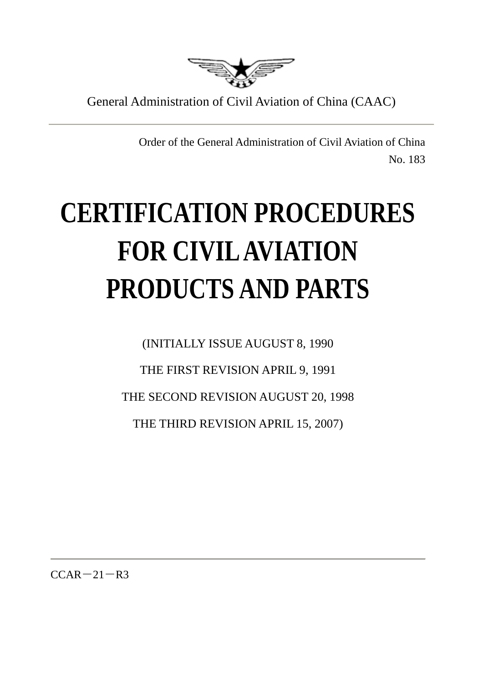

General Administration of Civil Aviation of China (CAAC)

Order of the General Administration of Civil Aviation of China No. 183

# **CERTIFICATION PROCEDURES FOR CIVIL AVIATION PRODUCTS AND PARTS**

(INITIALLY ISSUE AUGUST 8, 1990 THE FIRST REVISION APRIL 9, 1991 THE SECOND REVISION AUGUST 20, 1998 THE THIRD REVISION APRIL 15, 2007)

 $CCAR-21-R3$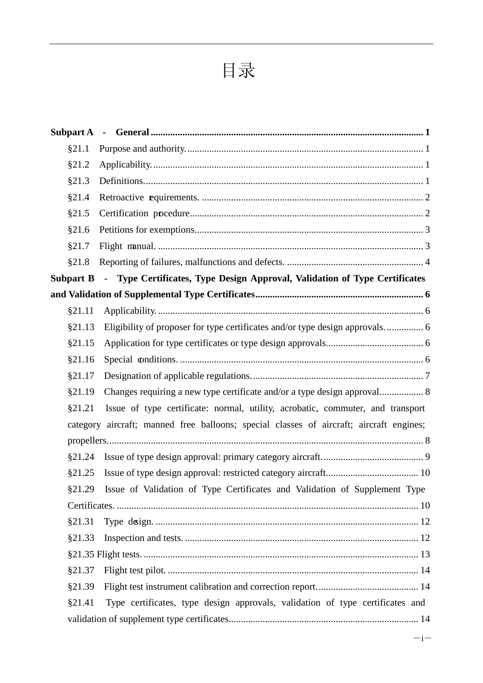## 目录

| §21.1            |                                                                                         |
|------------------|-----------------------------------------------------------------------------------------|
| \$21.2           |                                                                                         |
| §21.3            |                                                                                         |
| §21.4            |                                                                                         |
| §21.5            |                                                                                         |
| §21.6            |                                                                                         |
| §21.7            |                                                                                         |
| §21.8            |                                                                                         |
| <b>Subpart B</b> | - Type Certificates, Type Design Approval, Validation of Type Certificates              |
|                  |                                                                                         |
| §21.11           |                                                                                         |
| §21.13           | Eligibility of proposer for type certificates and/or type design approvals 6            |
| §21.15           |                                                                                         |
| \$21.16          |                                                                                         |
| §21.17           |                                                                                         |
| §21.19           |                                                                                         |
| §21.21           | Issue of type certificate: normal, utility, acrobatic, commuter, and transport          |
|                  | category aircraft; manned free balloons; special classes of aircraft; aircraft engines; |
|                  |                                                                                         |
| \$21.24          |                                                                                         |
| §21.25           |                                                                                         |
|                  | §21.29 Issue of Validation of Type Certificates and Validation of Supplement Type       |
|                  |                                                                                         |
| §21.31           |                                                                                         |
| §21.33           |                                                                                         |
|                  |                                                                                         |
| §21.37           |                                                                                         |
| §21.39           |                                                                                         |
| §21.41           | Type certificates, type design approvals, validation of type certificates and           |
|                  |                                                                                         |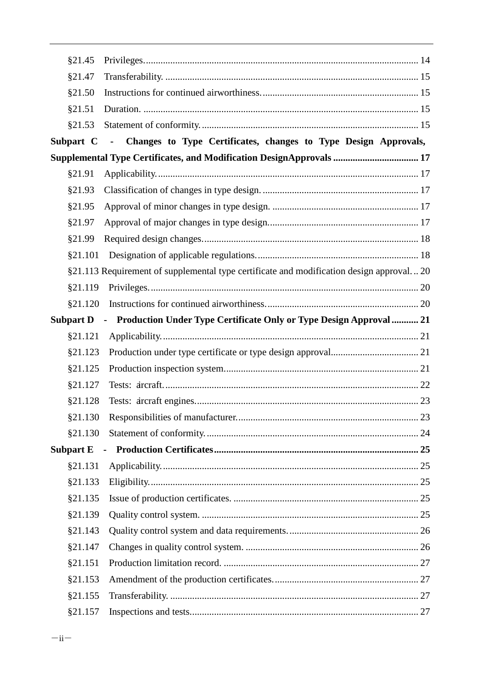| §21.45           |                                                                                         |  |
|------------------|-----------------------------------------------------------------------------------------|--|
| §21.47           |                                                                                         |  |
| \$21.50          |                                                                                         |  |
| §21.51           |                                                                                         |  |
| §21.53           |                                                                                         |  |
| Subpart C        | - Changes to Type Certificates, changes to Type Design Approvals,                       |  |
|                  | Supplemental Type Certificates, and Modification DesignApprovals  17                    |  |
| §21.91           |                                                                                         |  |
| §21.93           |                                                                                         |  |
| §21.95           |                                                                                         |  |
| §21.97           |                                                                                         |  |
| §21.99           |                                                                                         |  |
| §21.101          |                                                                                         |  |
|                  | §21.113 Requirement of supplemental type certificate and modification design approval20 |  |
| §21.119          |                                                                                         |  |
| §21.120          |                                                                                         |  |
| <b>Subpart D</b> | - Production Under Type Certificate Only or Type Design Approval  21                    |  |
| §21.121          |                                                                                         |  |
| §21.123          |                                                                                         |  |
| §21.125          |                                                                                         |  |
| §21.127          |                                                                                         |  |
| §21.128          |                                                                                         |  |
| §21.130          |                                                                                         |  |
| §21.130          |                                                                                         |  |
| <b>Subpart E</b> |                                                                                         |  |
| §21.131          |                                                                                         |  |
| §21.133          |                                                                                         |  |
| §21.135          |                                                                                         |  |
| §21.139          |                                                                                         |  |
| §21.143          |                                                                                         |  |
| §21.147          |                                                                                         |  |
| §21.151          |                                                                                         |  |
| §21.153          |                                                                                         |  |
| §21.155          |                                                                                         |  |
| §21.157          |                                                                                         |  |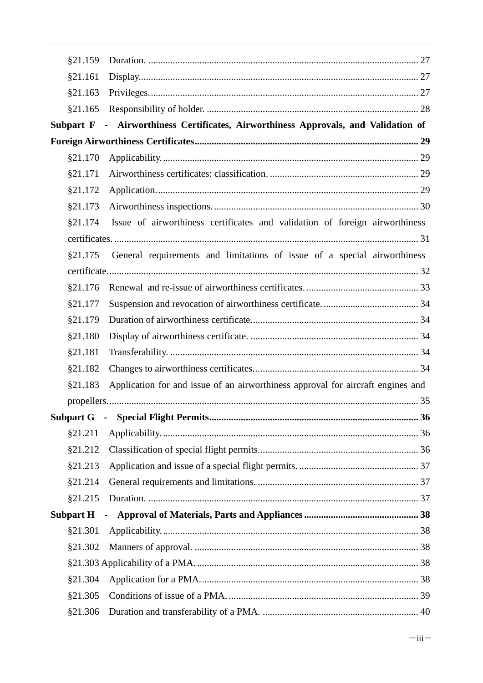| §21.159          |                                                                                 |  |
|------------------|---------------------------------------------------------------------------------|--|
| §21.161          |                                                                                 |  |
| §21.163          |                                                                                 |  |
| \$21.165         |                                                                                 |  |
| Subpart F        | - Airworthiness Certificates, Airworthiness Approvals, and Validation of        |  |
|                  |                                                                                 |  |
| §21.170          |                                                                                 |  |
| §21.171          |                                                                                 |  |
| §21.172          |                                                                                 |  |
| §21.173          |                                                                                 |  |
| §21.174          | Issue of airworthiness certificates and validation of foreign airworthiness     |  |
|                  |                                                                                 |  |
| \$21.175         | General requirements and limitations of issue of a special airworthiness        |  |
|                  |                                                                                 |  |
| §21.176          |                                                                                 |  |
| §21.177          |                                                                                 |  |
| §21.179          |                                                                                 |  |
| §21.180          |                                                                                 |  |
| §21.181          |                                                                                 |  |
| §21.182          |                                                                                 |  |
| §21.183          | Application for and issue of an airworthiness approval for aircraft engines and |  |
|                  |                                                                                 |  |
| <b>Subpart G</b> | $\sim$                                                                          |  |
| §21.211          |                                                                                 |  |
| §21.212          |                                                                                 |  |
| §21.213          |                                                                                 |  |
| \$21.214         |                                                                                 |  |
| \$21.215         |                                                                                 |  |
| <b>Subpart H</b> | $\blacksquare$                                                                  |  |
| §21.301          |                                                                                 |  |
| \$21.302         |                                                                                 |  |
|                  |                                                                                 |  |
| §21.304          |                                                                                 |  |
| §21.305          |                                                                                 |  |
| §21.306          |                                                                                 |  |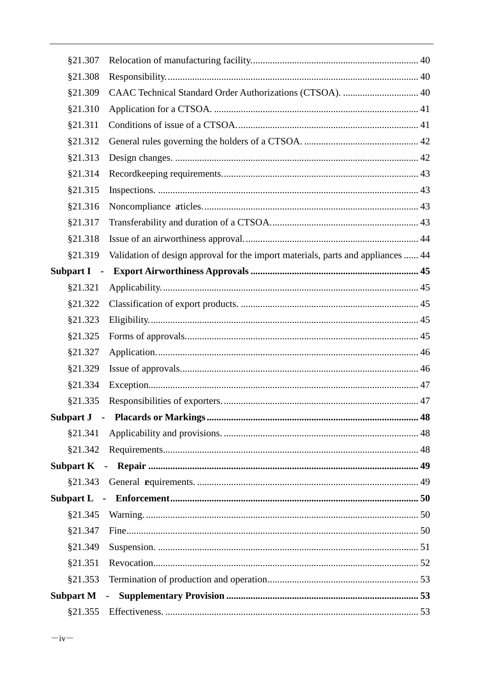| §21.307                                      |                                                                                  |  |
|----------------------------------------------|----------------------------------------------------------------------------------|--|
| §21.308                                      |                                                                                  |  |
| §21.309                                      | CAAC Technical Standard Order Authorizations (CTSOA).  40                        |  |
| §21.310                                      |                                                                                  |  |
| §21.311                                      |                                                                                  |  |
| §21.312                                      |                                                                                  |  |
| §21.313                                      |                                                                                  |  |
| §21.314                                      |                                                                                  |  |
| §21.315                                      |                                                                                  |  |
| §21.316                                      |                                                                                  |  |
| §21.317                                      |                                                                                  |  |
| §21.318                                      |                                                                                  |  |
| §21.319                                      | Validation of design approval for the import materials, parts and appliances  44 |  |
| <b>Subpart I</b><br>$\overline{\phantom{a}}$ |                                                                                  |  |
| §21.321                                      |                                                                                  |  |
| §21.322                                      |                                                                                  |  |
| §21.323                                      |                                                                                  |  |
| §21.325                                      |                                                                                  |  |
| §21.327                                      |                                                                                  |  |
| §21.329                                      |                                                                                  |  |
| §21.334                                      |                                                                                  |  |
| §21.335                                      |                                                                                  |  |
|                                              |                                                                                  |  |
| \$21.341                                     |                                                                                  |  |
| §21.342                                      |                                                                                  |  |
| <b>Subpart K</b>                             |                                                                                  |  |
| \$21.343                                     |                                                                                  |  |
|                                              |                                                                                  |  |
| §21.345                                      |                                                                                  |  |
| §21.347                                      |                                                                                  |  |
| §21.349                                      |                                                                                  |  |
| §21.351                                      |                                                                                  |  |
| §21.353                                      |                                                                                  |  |
| <b>Subpart M</b>                             |                                                                                  |  |
| §21.355                                      |                                                                                  |  |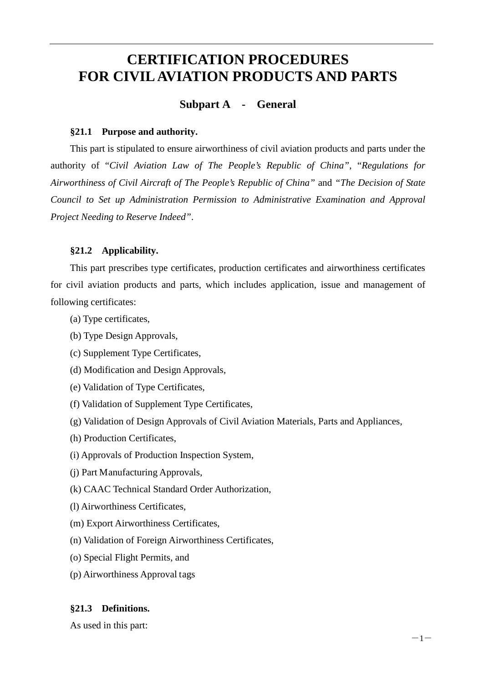## <span id="page-5-0"></span>**CERTIFICATION PROCEDURES FOR CIVIL AVIATION PRODUCTS AND PARTS**

## **Subpart A - General**

#### <span id="page-5-1"></span>**§21.1 Purpose and authority.**

This part is stipulated to ensure airworthiness of civil aviation products and parts under the authority of "*Civil Aviation Law of The People's Republic of China"*, "*Regulations for Airworthiness of Civil Aircraft of The People's Republic of China"* and *"The Decision of State Council to Set up Administration Permission to Administrative Examination and Approval Project Needing to Reserve Indeed"*.

#### <span id="page-5-2"></span>**§21.2 Applicability.**

This part prescribes type certificates, production certificates and airworthiness certificates for civil aviation products and parts, which includes application, issue and management of following certificates:

- (a) Type certificates,
- (b) Type Design Approvals,
- (c) Supplement Type Certificates,
- (d) Modification and Design Approvals,
- (e) Validation of Type Certificates,
- (f) Validation of Supplement Type Certificates,
- (g) Validation of Design Approvals of Civil Aviation Materials, Parts and Appliances,
- (h) Production Certificates,
- (i) Approvals of Production Inspection System,
- (j) Part Manufacturing Approvals,
- (k) CAAC Technical Standard Order Authorization,
- (l) Airworthiness Certificates,
- (m) Export Airworthiness Certificates,
- (n) Validation of Foreign Airworthiness Certificates,
- (o) Special Flight Permits, and
- (p) Airworthiness Approval tags

#### <span id="page-5-3"></span>**§21.3 Definitions.**

As used in this part: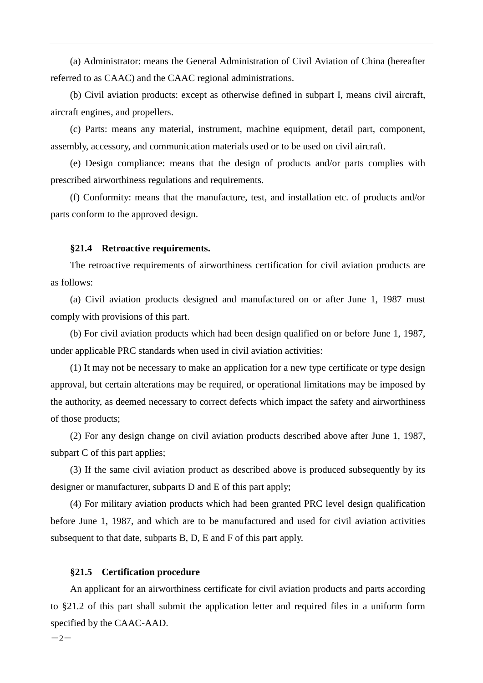(a) Administrator: means the General Administration of Civil Aviation of China (hereafter referred to as CAAC) and the CAAC regional administrations.

(b) Civil aviation products: except as otherwise defined in subpart I, means civil aircraft, aircraft engines, and propellers.

(c) Parts: means any material, instrument, machine equipment, detail part, component, assembly, accessory, and communication materials used or to be used on civil aircraft.

(e) Design compliance: means that the design of products and/or parts complies with prescribed airworthiness regulations and requirements.

(f) Conformity: means that the manufacture, test, and installation etc. of products and/or parts conform to the approved design.

#### <span id="page-6-0"></span>**§21.4 Retroactive requirements.**

The retroactive requirements of airworthiness certification for civil aviation products are as follows:

(a) Civil aviation products designed and manufactured on or after June 1, 1987 must comply with provisions of this part.

(b) For civil aviation products which had been design qualified on or before June 1, 1987, under applicable PRC standards when used in civil aviation activities:

(1) It may not be necessary to make an application for a new type certificate or type design approval, but certain alterations may be required, or operational limitations may be imposed by the authority, as deemed necessary to correct defects which impact the safety and airworthiness of those products;

(2) For any design change on civil aviation products described above after June 1, 1987, subpart C of this part applies;

(3) If the same civil aviation product as described above is produced subsequently by its designer or manufacturer, subparts D and E of this part apply;

(4) For military aviation products which had been granted PRC level design qualification before June 1, 1987, and which are to be manufactured and used for civil aviation activities subsequent to that date, subparts B, D, E and F of this part apply.

#### <span id="page-6-1"></span>**§21.5 Certification procedure**

An applicant for an airworthiness certificate for civil aviation products and parts according to §21.2 of this part shall submit the application letter and required files in a uniform form specified by the CAAC-AAD.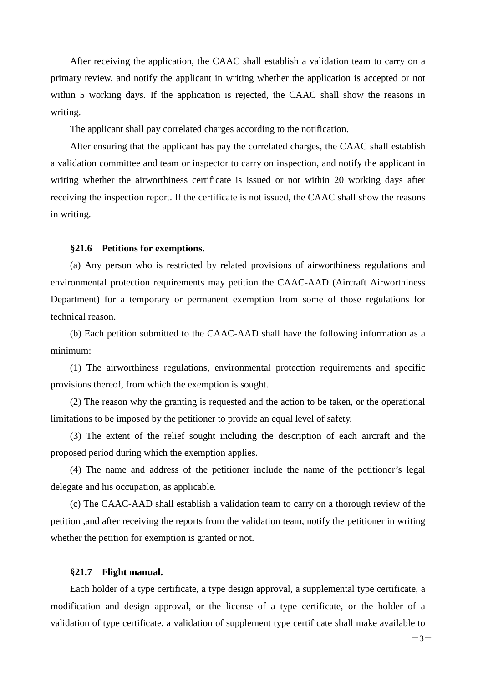After receiving the application, the CAAC shall establish a validation team to carry on a primary review, and notify the applicant in writing whether the application is accepted or not within 5 working days. If the application is rejected, the CAAC shall show the reasons in writing.

The applicant shall pay correlated charges according to the notification.

After ensuring that the applicant has pay the correlated charges, the CAAC shall establish a validation committee and team or inspector to carry on inspection, and notify the applicant in writing whether the airworthiness certificate is issued or not within 20 working days after receiving the inspection report. If the certificate is not issued, the CAAC shall show the reasons in writing.

#### <span id="page-7-0"></span>**§21.6 Petitions for exemptions.**

(a) Any person who is restricted by related provisions of airworthiness regulations and environmental protection requirements may petition the CAAC-AAD (Aircraft Airworthiness Department) for a temporary or permanent exemption from some of those regulations for technical reason.

(b) Each petition submitted to the CAAC-AAD shall have the following information as a minimum:

(1) The airworthiness regulations, environmental protection requirements and specific provisions thereof, from which the exemption is sought.

(2) The reason why the granting is requested and the action to be taken, or the operational limitations to be imposed by the petitioner to provide an equal level of safety.

(3) The extent of the relief sought including the description of each aircraft and the proposed period during which the exemption applies.

(4) The name and address of the petitioner include the name of the petitioner's legal delegate and his occupation, as applicable.

(c) The CAAC-AAD shall establish a validation team to carry on a thorough review of the petition ,and after receiving the reports from the validation team, notify the petitioner in writing whether the petition for exemption is granted or not.

#### <span id="page-7-1"></span>**§21.7 Flight manual.**

Each holder of a type certificate, a type design approval, a supplemental type certificate, a modification and design approval, or the license of a type certificate, or the holder of a validation of type certificate, a validation of supplement type certificate shall make available to

 $-3-$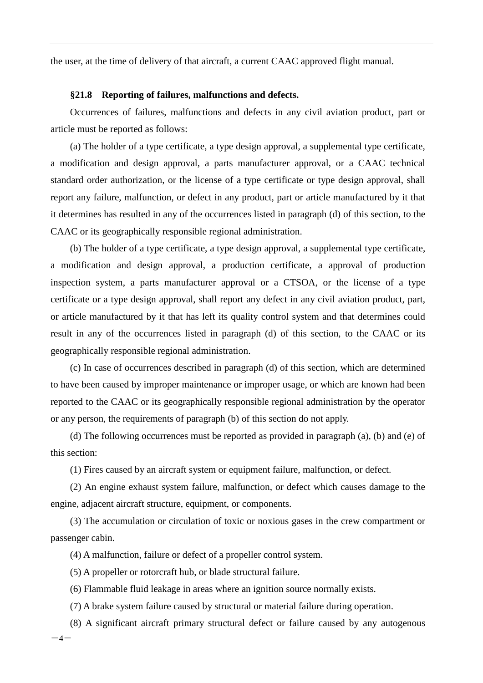the user, at the time of delivery of that aircraft, a current CAAC approved flight manual.

#### <span id="page-8-0"></span>**§21.8 Reporting of failures, malfunctions and defects.**

Occurrences of failures, malfunctions and defects in any civil aviation product, part or article must be reported as follows:

(a) The holder of a type certificate, a type design approval, a supplemental type certificate, a modification and design approval, a parts manufacturer approval, or a CAAC technical standard order authorization, or the license of a type certificate or type design approval, shall report any failure, malfunction, or defect in any product, part or article manufactured by it that it determines has resulted in any of the occurrences listed in paragraph (d) of this section, to the CAAC or its geographically responsible regional administration.

(b) The holder of a type certificate, a type design approval, a supplemental type certificate, a modification and design approval, a production certificate, a approval of production inspection system, a parts manufacturer approval or a CTSOA, or the license of a type certificate or a type design approval, shall report any defect in any civil aviation product, part, or article manufactured by it that has left its quality control system and that determines could result in any of the occurrences listed in paragraph (d) of this section, to the CAAC or its geographically responsible regional administration.

(c) In case of occurrences described in paragraph (d) of this section, which are determined to have been caused by improper maintenance or improper usage, or which are known had been reported to the CAAC or its geographically responsible regional administration by the operator or any person, the requirements of paragraph (b) of this section do not apply.

(d) The following occurrences must be reported as provided in paragraph (a), (b) and (e) of this section:

(1) Fires caused by an aircraft system or equipment failure, malfunction, or defect.

(2) An engine exhaust system failure, malfunction, or defect which causes damage to the engine, adjacent aircraft structure, equipment, or components.

(3) The accumulation or circulation of toxic or noxious gases in the crew compartment or passenger cabin.

(4) A malfunction, failure or defect of a propeller control system.

(5) A propeller or rotorcraft hub, or blade structural failure.

(6) Flammable fluid leakage in areas where an ignition source normally exists.

(7) A brake system failure caused by structural or material failure during operation.

 $-4-$ (8) A significant aircraft primary structural defect or failure caused by any autogenous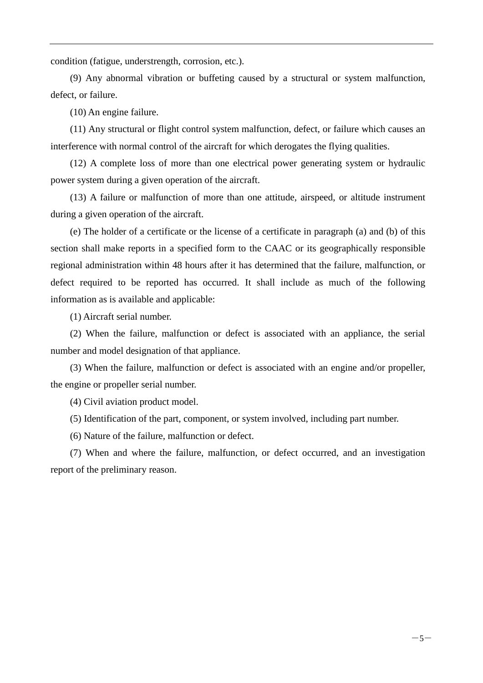condition (fatigue, understrength, corrosion, etc.).

(9) Any abnormal vibration or buffeting caused by a structural or system malfunction, defect, or failure.

(10) An engine failure.

(11) Any structural or flight control system malfunction, defect, or failure which causes an interference with normal control of the aircraft for which derogates the flying qualities.

(12) A complete loss of more than one electrical power generating system or hydraulic power system during a given operation of the aircraft.

(13) A failure or malfunction of more than one attitude, airspeed, or altitude instrument during a given operation of the aircraft.

(e) The holder of a certificate or the license of a certificate in paragraph (a) and (b) of this section shall make reports in a specified form to the CAAC or its geographically responsible regional administration within 48 hours after it has determined that the failure, malfunction, or defect required to be reported has occurred. It shall include as much of the following information as is available and applicable:

(1) Aircraft serial number.

(2) When the failure, malfunction or defect is associated with an appliance, the serial number and model designation of that appliance.

(3) When the failure, malfunction or defect is associated with an engine and/or propeller, the engine or propeller serial number.

(4) Civil aviation product model.

(5) Identification of the part, component, or system involved, including part number.

(6) Nature of the failure, malfunction or defect.

(7) When and where the failure, malfunction, or defect occurred, and an investigation report of the preliminary reason.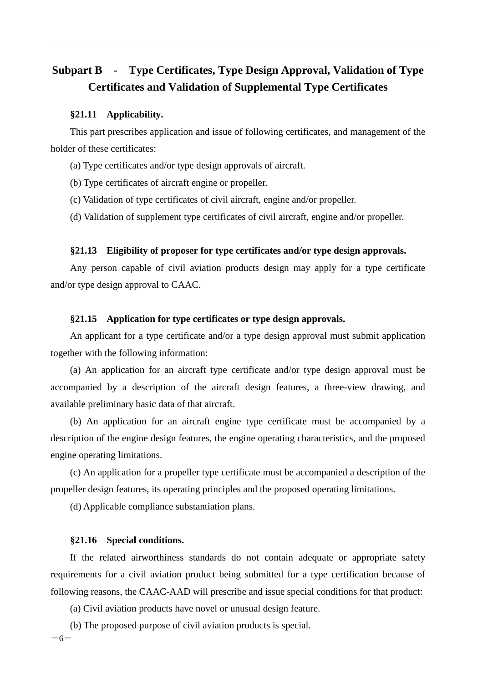## <span id="page-10-0"></span>**Subpart B - Type Certificates, Type Design Approval, Validation of Type Certificates and Validation of Supplemental Type Certificates**

#### <span id="page-10-1"></span>**§21.11 Applicability.**

This part prescribes application and issue of following certificates, and management of the holder of these certificates:

- (a) Type certificates and/or type design approvals of aircraft.
- (b) Type certificates of aircraft engine or propeller.
- (c) Validation of type certificates of civil aircraft, engine and/or propeller.
- (d) Validation of supplement type certificates of civil aircraft, engine and/or propeller.

#### <span id="page-10-2"></span>**§21.13 Eligibility of proposer for type certificates and/or type design approvals.**

Any person capable of civil aviation products design may apply for a type certificate and/or type design approval to CAAC.

#### <span id="page-10-3"></span>**§21.15 Application for type certificates or type design approvals.**

An applicant for a type certificate and/or a type design approval must submit application together with the following information:

(a) An application for an aircraft type certificate and/or type design approval must be accompanied by a description of the aircraft design features, a three-view drawing, and available preliminary basic data of that aircraft.

(b) An application for an aircraft engine type certificate must be accompanied by a description of the engine design features, the engine operating characteristics, and the proposed engine operating limitations.

(c) An application for a propeller type certificate must be accompanied a description of the propeller design features, its operating principles and the proposed operating limitations.

(d) Applicable compliance substantiation plans.

#### <span id="page-10-4"></span>**§21.16 Special conditions.**

If the related airworthiness standards do not contain adequate or appropriate safety requirements for a civil aviation product being submitted for a type certification because of following reasons, the CAAC-AAD will prescribe and issue special conditions for that product:

(a) Civil aviation products have novel or unusual design feature.

 $-6-$ (b) The proposed purpose of civil aviation products is special.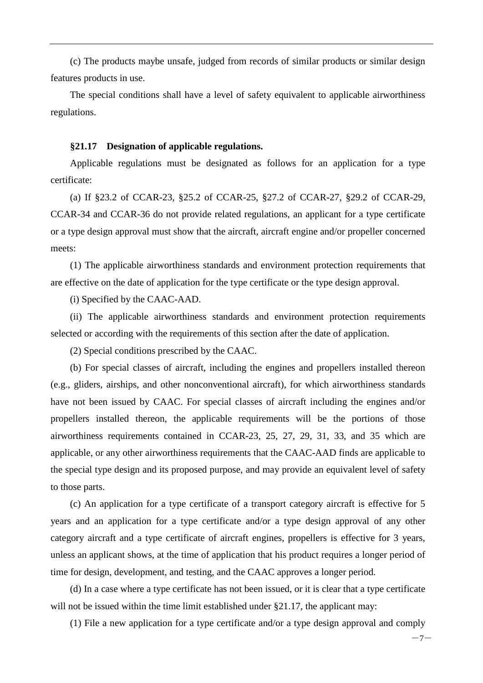(c) The products maybe unsafe, judged from records of similar products or similar design features products in use.

The special conditions shall have a level of safety equivalent to applicable airworthiness regulations.

#### <span id="page-11-0"></span>**§21.17 Designation of applicable regulations.**

Applicable regulations must be designated as follows for an application for a type certificate:

(a) If §23.2 of CCAR-23, §25.2 of CCAR-25, §27.2 of CCAR-27, §29.2 of CCAR-29, CCAR-34 and CCAR-36 do not provide related regulations, an applicant for a type certificate or a type design approval must show that the aircraft, aircraft engine and/or propeller concerned meets:

(1) The applicable airworthiness standards and environment protection requirements that are effective on the date of application for the type certificate or the type design approval.

(i) Specified by the CAAC-AAD.

(ii) The applicable airworthiness standards and environment protection requirements selected or according with the requirements of this section after the date of application.

(2) Special conditions prescribed by the CAAC.

(b) For special classes of aircraft, including the engines and propellers installed thereon (e.g., gliders, airships, and other nonconventional aircraft), for which airworthiness standards have not been issued by CAAC. For special classes of aircraft including the engines and/or propellers installed thereon, the applicable requirements will be the portions of those airworthiness requirements contained in CCAR-23, 25, 27, 29, 31, 33, and 35 which are applicable, or any other airworthiness requirements that the CAAC-AAD finds are applicable to the special type design and its proposed purpose, and may provide an equivalent level of safety to those parts.

(c) An application for a type certificate of a transport category aircraft is effective for 5 years and an application for a type certificate and/or a type design approval of any other category aircraft and a type certificate of aircraft engines, propellers is effective for 3 years, unless an applicant shows, at the time of application that his product requires a longer period of time for design, development, and testing, and the CAAC approves a longer period.

(d) In a case where a type certificate has not been issued, or it is clear that a type certificate will not be issued within the time limit established under §21.17, the applicant may:

(1) File a new application for a type certificate and/or a type design approval and comply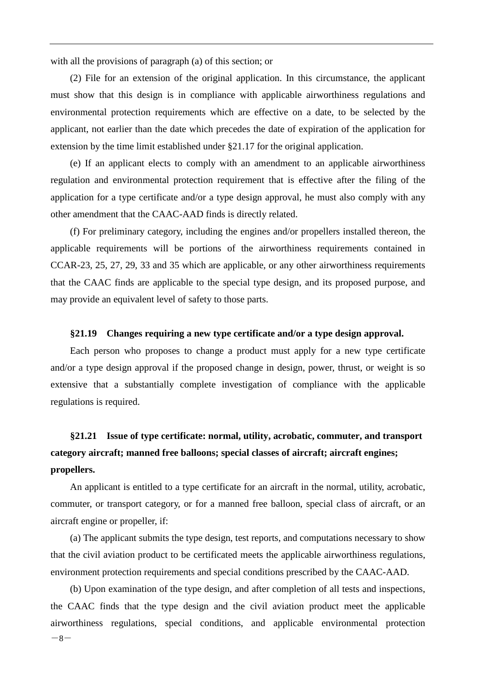with all the provisions of paragraph (a) of this section; or

(2) File for an extension of the original application. In this circumstance, the applicant must show that this design is in compliance with applicable airworthiness regulations and environmental protection requirements which are effective on a date, to be selected by the applicant, not earlier than the date which precedes the date of expiration of the application for extension by the time limit established under §21.17 for the original application.

(e) If an applicant elects to comply with an amendment to an applicable airworthiness regulation and environmental protection requirement that is effective after the filing of the application for a type certificate and/or a type design approval, he must also comply with any other amendment that the CAAC-AAD finds is directly related.

(f) For preliminary category, including the engines and/or propellers installed thereon, the applicable requirements will be portions of the airworthiness requirements contained in CCAR-23, 25, 27, 29, 33 and 35 which are applicable, or any other airworthiness requirements that the CAAC finds are applicable to the special type design, and its proposed purpose, and may provide an equivalent level of safety to those parts.

#### <span id="page-12-0"></span>**§21.19 Changes requiring a new type certificate and/or a type design approval.**

Each person who proposes to change a product must apply for a new type certificate and/or a type design approval if the proposed change in design, power, thrust, or weight is so extensive that a substantially complete investigation of compliance with the applicable regulations is required.

## <span id="page-12-1"></span>**§21.21 Issue of type certificate: normal, utility, acrobatic, commuter, and transport category aircraft; manned free balloons; special classes of aircraft; aircraft engines; propellers.**

An applicant is entitled to a type certificate for an aircraft in the normal, utility, acrobatic, commuter, or transport category, or for a manned free balloon, special class of aircraft, or an aircraft engine or propeller, if:

(a) The applicant submits the type design, test reports, and computations necessary to show that the civil aviation product to be certificated meets the applicable airworthiness regulations, environment protection requirements and special conditions prescribed by the CAAC-AAD.

 $-8-$ (b) Upon examination of the type design, and after completion of all tests and inspections, the CAAC finds that the type design and the civil aviation product meet the applicable airworthiness regulations, special conditions, and applicable environmental protection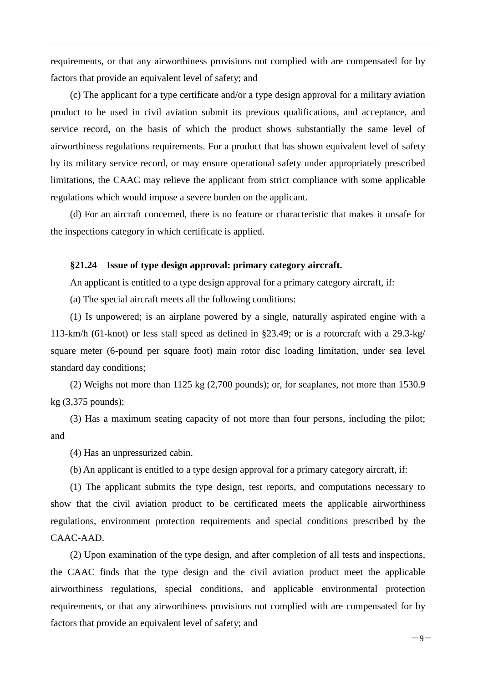requirements, or that any airworthiness provisions not complied with are compensated for by factors that provide an equivalent level of safety; and

(c) The applicant for a type certificate and/or a type design approval for a military aviation product to be used in civil aviation submit its previous qualifications, and acceptance, and service record, on the basis of which the product shows substantially the same level of airworthiness regulations requirements. For a product that has shown equivalent level of safety by its military service record, or may ensure operational safety under appropriately prescribed limitations, the CAAC may relieve the applicant from strict compliance with some applicable regulations which would impose a severe burden on the applicant.

(d) For an aircraft concerned, there is no feature or characteristic that makes it unsafe for the inspections category in which certificate is applied.

#### <span id="page-13-0"></span>**§21.24 Issue of type design approval: primary category aircraft.**

An applicant is entitled to a type design approval for a primary category aircraft, if:

(a) The special aircraft meets all the following conditions:

(1) Is unpowered; is an airplane powered by a single, naturally aspirated engine with a 113-km/h (61-knot) or less stall speed as defined in §23.49; or is a rotorcraft with a 29.3-kg/ square meter (6-pound per square foot) main rotor disc loading limitation, under sea level standard day conditions;

(2) Weighs not more than 1125 kg (2,700 pounds); or, for seaplanes, not more than 1530.9 kg (3,375 pounds);

(3) Has a maximum seating capacity of not more than four persons, including the pilot; and

(4) Has an unpressurized cabin.

(b) An applicant is entitled to a type design approval for a primary category aircraft, if:

(1) The applicant submits the type design, test reports, and computations necessary to show that the civil aviation product to be certificated meets the applicable airworthiness regulations, environment protection requirements and special conditions prescribed by the CAAC-AAD.

(2) Upon examination of the type design, and after completion of all tests and inspections, the CAAC finds that the type design and the civil aviation product meet the applicable airworthiness regulations, special conditions, and applicable environmental protection requirements, or that any airworthiness provisions not complied with are compensated for by factors that provide an equivalent level of safety; and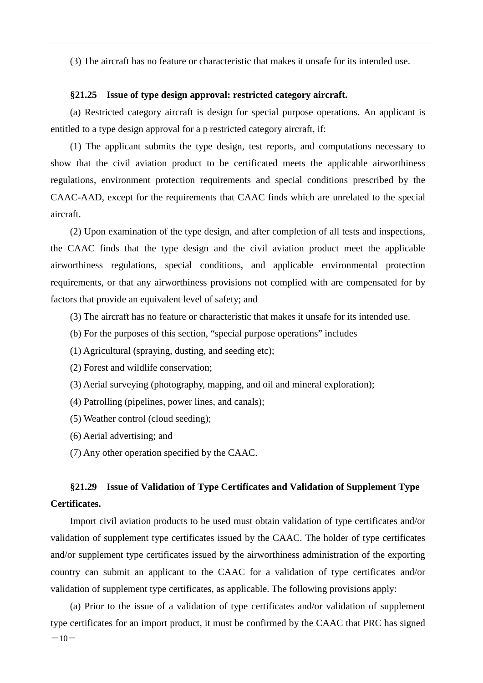(3) The aircraft has no feature or characteristic that makes it unsafe for its intended use.

#### <span id="page-14-0"></span>**§21.25 Issue of type design approval: restricted category aircraft.**

(a) Restricted category aircraft is design for special purpose operations. An applicant is entitled to a type design approval for a p restricted category aircraft, if:

(1) The applicant submits the type design, test reports, and computations necessary to show that the civil aviation product to be certificated meets the applicable airworthiness regulations, environment protection requirements and special conditions prescribed by the CAAC-AAD, except for the requirements that CAAC finds which are unrelated to the special aircraft.

(2) Upon examination of the type design, and after completion of all tests and inspections, the CAAC finds that the type design and the civil aviation product meet the applicable airworthiness regulations, special conditions, and applicable environmental protection requirements, or that any airworthiness provisions not complied with are compensated for by factors that provide an equivalent level of safety; and

- (3) The aircraft has no feature or characteristic that makes it unsafe for its intended use.
- (b) For the purposes of this section, "special purpose operations" includes
- (1) Agricultural (spraying, dusting, and seeding etc);
- (2) Forest and wildlife conservation;
- (3) Aerial surveying (photography, mapping, and oil and mineral exploration);
- (4) Patrolling (pipelines, power lines, and canals);
- (5) Weather control (cloud seeding);
- (6) Aerial advertising; and
- (7) Any other operation specified by the CAAC.

## <span id="page-14-1"></span>**§21.29 Issue of Validation of Type Certificates and Validation of Supplement Type Certificates.**

Import civil aviation products to be used must obtain validation of type certificates and/or validation of supplement type certificates issued by the CAAC. The holder of type certificates and/or supplement type certificates issued by the airworthiness administration of the exporting country can submit an applicant to the CAAC for a validation of type certificates and/or validation of supplement type certificates, as applicable. The following provisions apply:

 $-10-$ (a) Prior to the issue of a validation of type certificates and/or validation of supplement type certificates for an import product, it must be confirmed by the CAAC that PRC has signed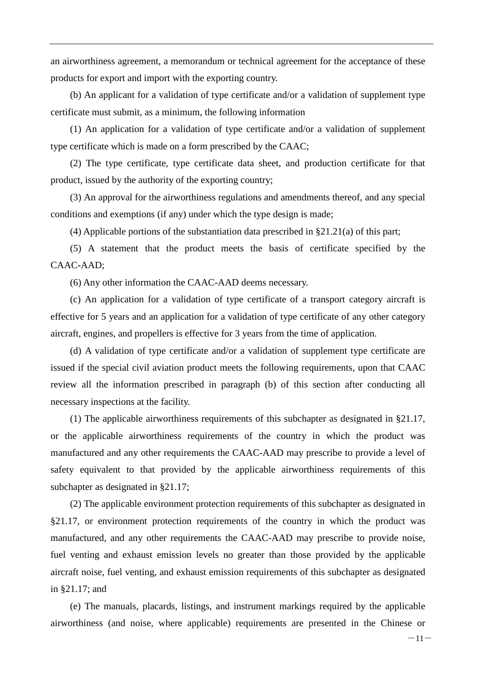an airworthiness agreement, a memorandum or technical agreement for the acceptance of these products for export and import with the exporting country.

(b) An applicant for a validation of type certificate and/or a validation of supplement type certificate must submit, as a minimum, the following information

(1) An application for a validation of type certificate and/or a validation of supplement type certificate which is made on a form prescribed by the CAAC;

(2) The type certificate, type certificate data sheet, and production certificate for that product, issued by the authority of the exporting country;

(3) An approval for the airworthiness regulations and amendments thereof, and any special conditions and exemptions (if any) under which the type design is made;

(4) Applicable portions of the substantiation data prescribed in §21.21(a) of this part;

(5) A statement that the product meets the basis of certificate specified by the CAAC-AAD;

(6) Any other information the CAAC-AAD deems necessary.

(c) An application for a validation of type certificate of a transport category aircraft is effective for 5 years and an application for a validation of type certificate of any other category aircraft, engines, and propellers is effective for 3 years from the time of application.

(d) A validation of type certificate and/or a validation of supplement type certificate are issued if the special civil aviation product meets the following requirements, upon that CAAC review all the information prescribed in paragraph (b) of this section after conducting all necessary inspections at the facility.

(1) The applicable airworthiness requirements of this subchapter as designated in §21.17, or the applicable airworthiness requirements of the country in which the product was manufactured and any other requirements the CAAC-AAD may prescribe to provide a level of safety equivalent to that provided by the applicable airworthiness requirements of this subchapter as designated in §21.17;

(2) The applicable environment protection requirements of this subchapter as designated in §21.17, or environment protection requirements of the country in which the product was manufactured, and any other requirements the CAAC-AAD may prescribe to provide noise, fuel venting and exhaust emission levels no greater than those provided by the applicable aircraft noise, fuel venting, and exhaust emission requirements of this subchapter as designated in §21.17; and

(e) The manuals, placards, listings, and instrument markings required by the applicable airworthiness (and noise, where applicable) requirements are presented in the Chinese or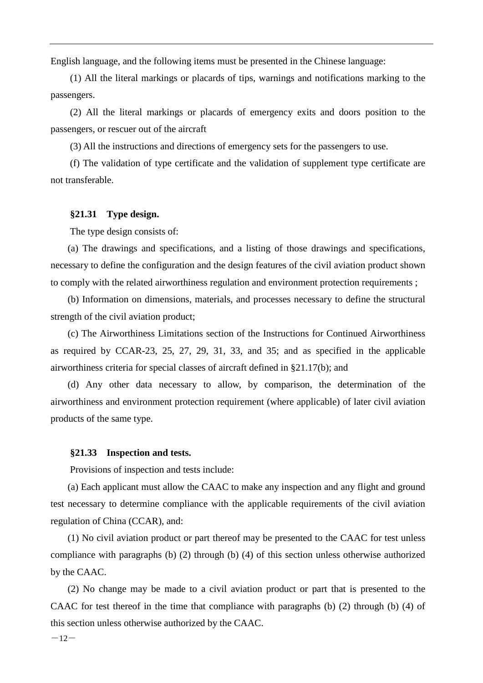English language, and the following items must be presented in the Chinese language:

(1) All the literal markings or placards of tips, warnings and notifications marking to the passengers.

(2) All the literal markings or placards of emergency exits and doors position to the passengers, or rescuer out of the aircraft

(3) All the instructions and directions of emergency sets for the passengers to use.

(f) The validation of type certificate and the validation of supplement type certificate are not transferable.

#### <span id="page-16-0"></span>**§21.31 Type design.**

The type design consists of:

(a) The drawings and specifications, and a listing of those drawings and specifications, necessary to define the configuration and the design features of the civil aviation product shown to comply with the related airworthiness regulation and environment protection requirements ;

(b) Information on dimensions, materials, and processes necessary to define the structural strength of the civil aviation product;

(c) The Airworthiness Limitations section of the Instructions for Continued Airworthiness as required by CCAR-23, 25, 27, 29, 31, 33, and 35; and as specified in the applicable airworthiness criteria for special classes of aircraft defined in §21.17(b); and

(d) Any other data necessary to allow, by comparison, the determination of the airworthiness and environment protection requirement (where applicable) of later civil aviation products of the same type.

#### <span id="page-16-1"></span>**§21.33 Inspection and tests.**

Provisions of inspection and tests include:

(a) Each applicant must allow the CAAC to make any inspection and any flight and ground test necessary to determine compliance with the applicable requirements of the civil aviation regulation of China (CCAR), and:

(1) No civil aviation product or part thereof may be presented to the CAAC for test unless compliance with paragraphs (b) (2) through (b) (4) of this section unless otherwise authorized by the CAAC.

(2) No change may be made to a civil aviation product or part that is presented to the CAAC for test thereof in the time that compliance with paragraphs (b) (2) through (b) (4) of this section unless otherwise authorized by the CAAC.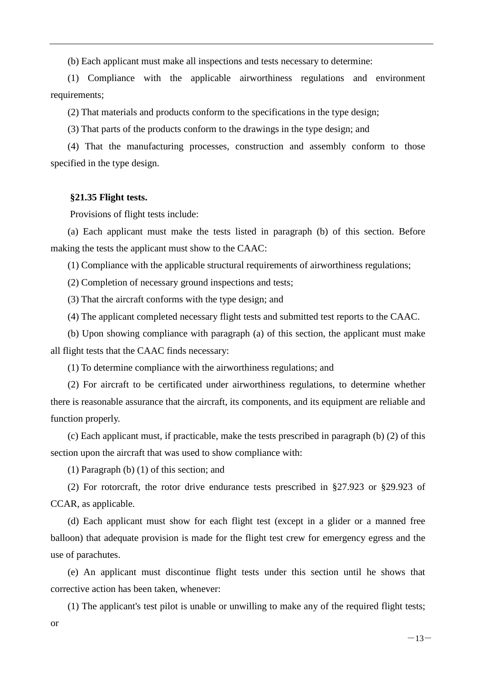(b) Each applicant must make all inspections and tests necessary to determine:

(1) Compliance with the applicable airworthiness regulations and environment requirements;

(2) That materials and products conform to the specifications in the type design;

(3) That parts of the products conform to the drawings in the type design; and

(4) That the manufacturing processes, construction and assembly conform to those specified in the type design.

#### <span id="page-17-0"></span>**§21.35 Flight tests.**

Provisions of flight tests include:

(a) Each applicant must make the tests listed in paragraph (b) of this section. Before making the tests the applicant must show to the CAAC:

(1) Compliance with the applicable structural requirements of airworthiness regulations;

(2) Completion of necessary ground inspections and tests;

(3) That the aircraft conforms with the type design; and

(4) The applicant completed necessary flight tests and submitted test reports to the CAAC.

(b) Upon showing compliance with paragraph (a) of this section, the applicant must make all flight tests that the CAAC finds necessary:

(1) To determine compliance with the airworthiness regulations; and

(2) For aircraft to be certificated under airworthiness regulations, to determine whether there is reasonable assurance that the aircraft, its components, and its equipment are reliable and function properly.

(c) Each applicant must, if practicable, make the tests prescribed in paragraph (b) (2) of this section upon the aircraft that was used to show compliance with:

(1) Paragraph (b) (1) of this section; and

(2) For rotorcraft, the rotor drive endurance tests prescribed in §27.923 or §29.923 of CCAR, as applicable.

(d) Each applicant must show for each flight test (except in a glider or a manned free balloon) that adequate provision is made for the flight test crew for emergency egress and the use of parachutes.

(e) An applicant must discontinue flight tests under this section until he shows that corrective action has been taken, whenever:

(1) The applicant's test pilot is unable or unwilling to make any of the required flight tests;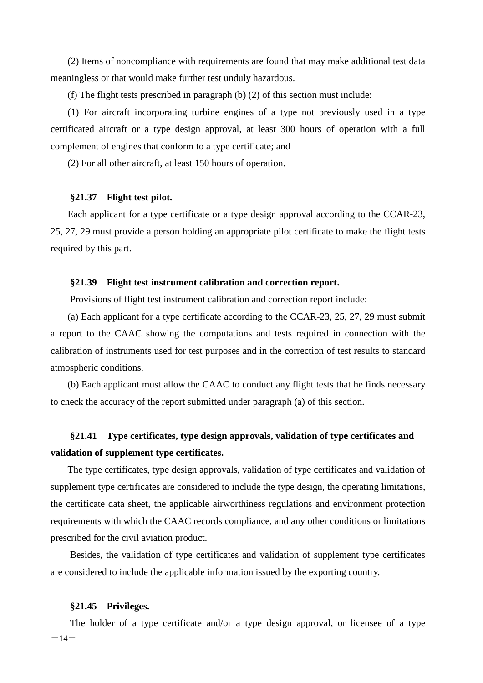(2) Items of noncompliance with requirements are found that may make additional test data meaningless or that would make further test unduly hazardous.

(f) The flight tests prescribed in paragraph (b) (2) of this section must include:

(1) For aircraft incorporating turbine engines of a type not previously used in a type certificated aircraft or a type design approval, at least 300 hours of operation with a full complement of engines that conform to a type certificate; and

(2) For all other aircraft, at least 150 hours of operation.

#### <span id="page-18-0"></span>**§21.37 Flight test pilot.**

Each applicant for a type certificate or a type design approval according to the CCAR-23, 25, 27, 29 must provide a person holding an appropriate pilot certificate to make the flight tests required by this part.

#### <span id="page-18-1"></span>**§21.39 Flight test instrument calibration and correction report.**

Provisions of flight test instrument calibration and correction report include:

(a) Each applicant for a type certificate according to the CCAR-23, 25, 27, 29 must submit a report to the CAAC showing the computations and tests required in connection with the calibration of instruments used for test purposes and in the correction of test results to standard atmospheric conditions.

(b) Each applicant must allow the CAAC to conduct any flight tests that he finds necessary to check the accuracy of the report submitted under paragraph (a) of this section.

## <span id="page-18-2"></span>**§21.41 Type certificates, type design approvals, validation of type certificates and validation of supplement type certificates.**

The type certificates, type design approvals, validation of type certificates and validation of supplement type certificates are considered to include the type design, the operating limitations, the certificate data sheet, the applicable airworthiness regulations and environment protection requirements with which the CAAC records compliance, and any other conditions or limitations prescribed for the civil aviation product.

Besides, the validation of type certificates and validation of supplement type certificates are considered to include the applicable information issued by the exporting country.

#### <span id="page-18-3"></span>**§21.45 Privileges.**

 $-14-$ The holder of a type certificate and/or a type design approval, or licensee of a type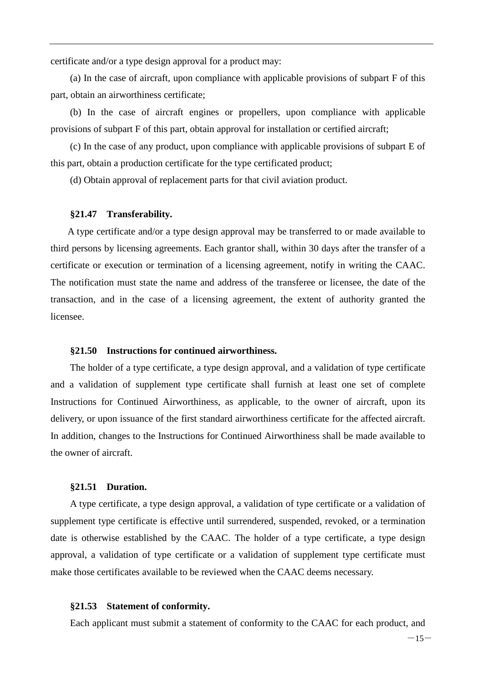certificate and/or a type design approval for a product may:

(a) In the case of aircraft, upon compliance with applicable provisions of subpart F of this part, obtain an airworthiness certificate;

(b) In the case of aircraft engines or propellers, upon compliance with applicable provisions of subpart F of this part, obtain approval for installation or certified aircraft;

(c) In the case of any product, upon compliance with applicable provisions of subpart E of this part, obtain a production certificate for the type certificated product;

(d) Obtain approval of replacement parts for that civil aviation product.

#### <span id="page-19-0"></span>**§21.47 Transferability.**

A type certificate and/or a type design approval may be transferred to or made available to third persons by licensing agreements. Each grantor shall, within 30 days after the transfer of a certificate or execution or termination of a licensing agreement, notify in writing the CAAC. The notification must state the name and address of the transferee or licensee, the date of the transaction, and in the case of a licensing agreement, the extent of authority granted the licensee.

#### <span id="page-19-1"></span>**§21.50 Instructions for continued airworthiness.**

The holder of a type certificate, a type design approval, and a validation of type certificate and a validation of supplement type certificate shall furnish at least one set of complete Instructions for Continued Airworthiness, as applicable, to the owner of aircraft, upon its delivery, or upon issuance of the first standard airworthiness certificate for the affected aircraft. In addition, changes to the Instructions for Continued Airworthiness shall be made available to the owner of aircraft.

#### <span id="page-19-2"></span>**§21.51 Duration.**

A type certificate, a type design approval, a validation of type certificate or a validation of supplement type certificate is effective until surrendered, suspended, revoked, or a termination date is otherwise established by the CAAC. The holder of a type certificate, a type design approval, a validation of type certificate or a validation of supplement type certificate must make those certificates available to be reviewed when the CAAC deems necessary.

#### <span id="page-19-3"></span>**§21.53 Statement of conformity.**

Each applicant must submit a statement of conformity to the CAAC for each product, and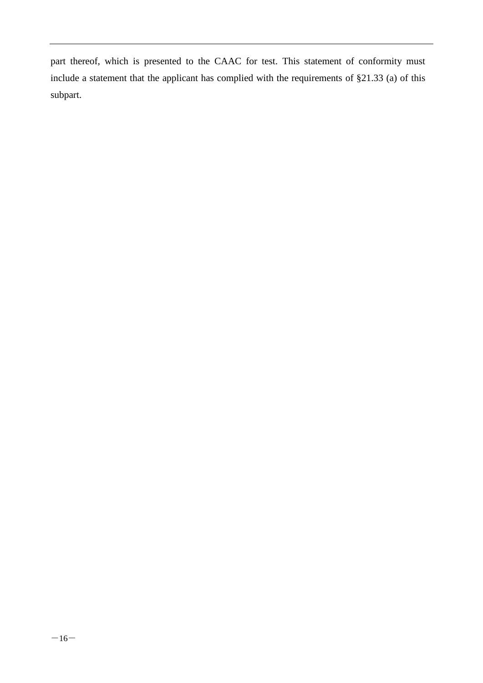part thereof, which is presented to the CAAC for test. This statement of conformity must include a statement that the applicant has complied with the requirements of §21.33 (a) of this subpart.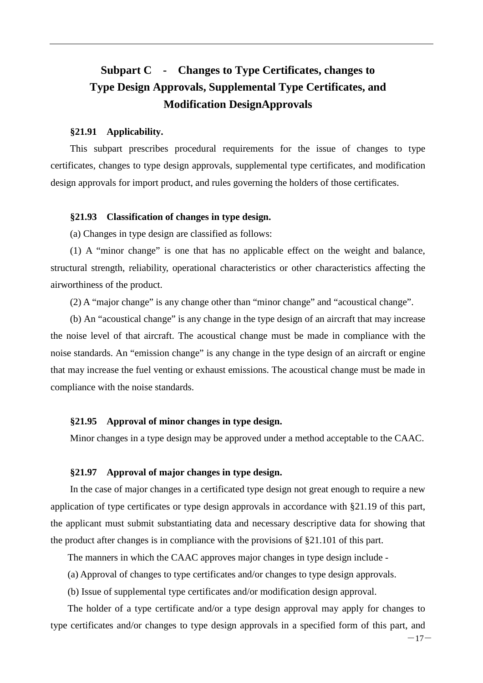## <span id="page-21-0"></span>**Subpart C - Changes to Type Certificates, changes to Type Design Approvals, Supplemental Type Certificates, and Modification DesignApprovals**

#### <span id="page-21-1"></span>**§21.91 Applicability.**

This subpart prescribes procedural requirements for the issue of changes to type certificates, changes to type design approvals, supplemental type certificates, and modification design approvals for import product, and rules governing the holders of those certificates.

#### <span id="page-21-2"></span>**§21.93 Classification of changes in type design.**

(a) Changes in type design are classified as follows:

(1) A "minor change" is one that has no applicable effect on the weight and balance, structural strength, reliability, operational characteristics or other characteristics affecting the airworthiness of the product.

(2) A "major change" is any change other than "minor change" and "acoustical change".

(b) An "acoustical change" is any change in the type design of an aircraft that may increase the noise level of that aircraft. The acoustical change must be made in compliance with the noise standards. An "emission change" is any change in the type design of an aircraft or engine that may increase the fuel venting or exhaust emissions. The acoustical change must be made in compliance with the noise standards.

#### <span id="page-21-3"></span>**§21.95 Approval of minor changes in type design.**

Minor changes in a type design may be approved under a method acceptable to the CAAC.

#### <span id="page-21-4"></span>**§21.97 Approval of major changes in type design.**

In the case of major changes in a certificated type design not great enough to require a new application of type certificates or type design approvals in accordance with §21.19 of this part, the applicant must submit substantiating data and necessary descriptive data for showing that the product after changes is in compliance with the provisions of §21.101 of this part.

The manners in which the CAAC approves major changes in type design include -

(a) Approval of changes to type certificates and/or changes to type design approvals.

(b) Issue of supplemental type certificates and/or modification design approval.

The holder of a type certificate and/or a type design approval may apply for changes to type certificates and/or changes to type design approvals in a specified form of this part, and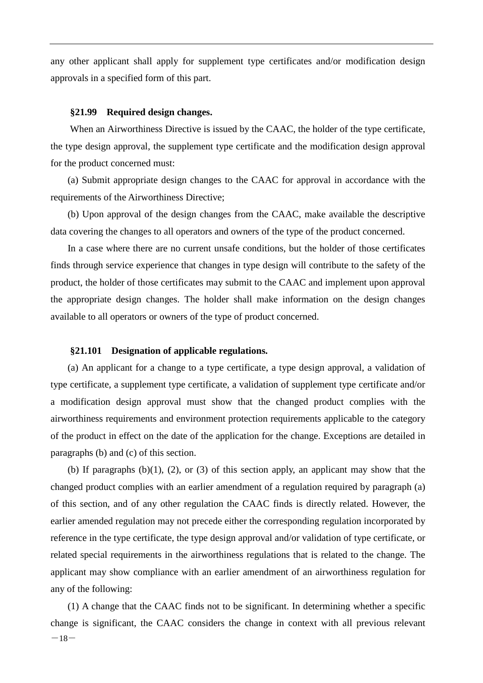any other applicant shall apply for supplement type certificates and/or modification design approvals in a specified form of this part.

#### <span id="page-22-0"></span>**§21.99 Required design changes.**

When an Airworthiness Directive is issued by the CAAC, the holder of the type certificate, the type design approval, the supplement type certificate and the modification design approval for the product concerned must:

(a) Submit appropriate design changes to the CAAC for approval in accordance with the requirements of the Airworthiness Directive;

(b) Upon approval of the design changes from the CAAC, make available the descriptive data covering the changes to all operators and owners of the type of the product concerned.

In a case where there are no current unsafe conditions, but the holder of those certificates finds through service experience that changes in type design will contribute to the safety of the product, the holder of those certificates may submit to the CAAC and implement upon approval the appropriate design changes. The holder shall make information on the design changes available to all operators or owners of the type of product concerned.

#### <span id="page-22-1"></span>**§21.101 Designation of applicable regulations.**

(a) An applicant for a change to a type certificate, a type design approval, a validation of type certificate, a supplement type certificate, a validation of supplement type certificate and/or a modification design approval must show that the changed product complies with the airworthiness requirements and environment protection requirements applicable to the category of the product in effect on the date of the application for the change. Exceptions are detailed in paragraphs (b) and (c) of this section.

(b) If paragraphs  $(b)(1)$ ,  $(2)$ , or  $(3)$  of this section apply, an applicant may show that the changed product complies with an earlier amendment of a regulation required by paragraph (a) of this section, and of any other regulation the CAAC finds is directly related. However, the earlier amended regulation may not precede either the corresponding regulation incorporated by reference in the type certificate, the type design approval and/or validation of type certificate, or related special requirements in the airworthiness regulations that is related to the change. The applicant may show compliance with an earlier amendment of an airworthiness regulation for any of the following:

 $-18-$ (1) A change that the CAAC finds not to be significant. In determining whether a specific change is significant, the CAAC considers the change in context with all previous relevant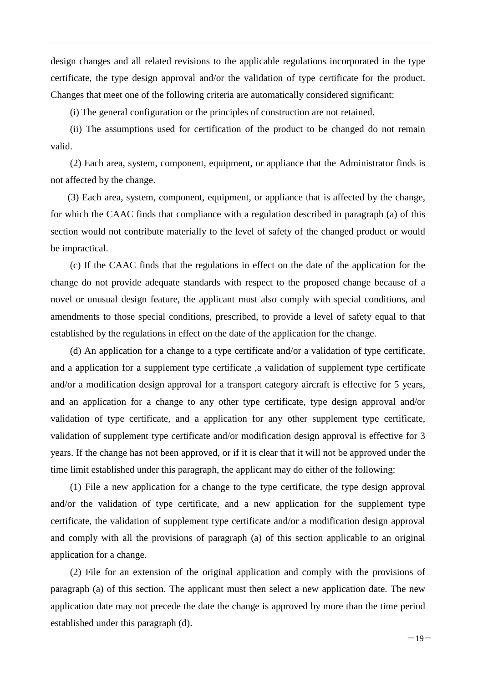design changes and all related revisions to the applicable regulations incorporated in the type certificate, the type design approval and/or the validation of type certificate for the product. Changes that meet one of the following criteria are automatically considered significant:

(i) The general configuration or the principles of construction are not retained.

(ii) The assumptions used for certification of the product to be changed do not remain valid.

(2) Each area, system, component, equipment, or appliance that the Administrator finds is not affected by the change.

(3) Each area, system, component, equipment, or appliance that is affected by the change, for which the CAAC finds that compliance with a regulation described in paragraph (a) of this section would not contribute materially to the level of safety of the changed product or would be impractical.

(c) If the CAAC finds that the regulations in effect on the date of the application for the change do not provide adequate standards with respect to the proposed change because of a novel or unusual design feature, the applicant must also comply with special conditions, and amendments to those special conditions, prescribed, to provide a level of safety equal to that established by the regulations in effect on the date of the application for the change.

(d) An application for a change to a type certificate and/or a validation of type certificate, and a application for a supplement type certificate ,a validation of supplement type certificate and/or a modification design approval for a transport category aircraft is effective for 5 years, and an application for a change to any other type certificate, type design approval and/or validation of type certificate, and a application for any other supplement type certificate, validation of supplement type certificate and/or modification design approval is effective for 3 years. If the change has not been approved, or if it is clear that it will not be approved under the time limit established under this paragraph, the applicant may do either of the following:

(1) File a new application for a change to the type certificate, the type design approval and/or the validation of type certificate, and a new application for the supplement type certificate, the validation of supplement type certificate and/or a modification design approval and comply with all the provisions of paragraph (a) of this section applicable to an original application for a change.

(2) File for an extension of the original application and comply with the provisions of paragraph (a) of this section. The applicant must then select a new application date. The new application date may not precede the date the change is approved by more than the time period established under this paragraph (d).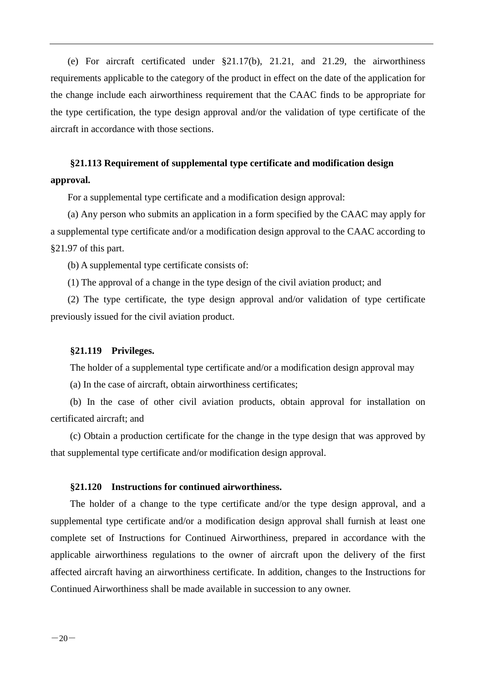(e) For aircraft certificated under §21.17(b), 21.21, and 21.29, the airworthiness requirements applicable to the category of the product in effect on the date of the application for the change include each airworthiness requirement that the CAAC finds to be appropriate for the type certification, the type design approval and/or the validation of type certificate of the aircraft in accordance with those sections.

## <span id="page-24-0"></span>**§21.113 Requirement of supplemental type certificate and modification design approval.**

For a supplemental type certificate and a modification design approval:

(a) Any person who submits an application in a form specified by the CAAC may apply for a supplemental type certificate and/or a modification design approval to the CAAC according to §21.97 of this part.

(b) A supplemental type certificate consists of:

(1) The approval of a change in the type design of the civil aviation product; and

(2) The type certificate, the type design approval and/or validation of type certificate previously issued for the civil aviation product.

#### <span id="page-24-1"></span>**§21.119 Privileges.**

The holder of a supplemental type certificate and/or a modification design approval may

(a) In the case of aircraft, obtain airworthiness certificates;

(b) In the case of other civil aviation products, obtain approval for installation on certificated aircraft; and

(c) Obtain a production certificate for the change in the type design that was approved by that supplemental type certificate and/or modification design approval.

#### <span id="page-24-2"></span>**§21.120 Instructions for continued airworthiness.**

The holder of a change to the type certificate and/or the type design approval, and a supplemental type certificate and/or a modification design approval shall furnish at least one complete set of Instructions for Continued Airworthiness, prepared in accordance with the applicable airworthiness regulations to the owner of aircraft upon the delivery of the first affected aircraft having an airworthiness certificate. In addition, changes to the Instructions for Continued Airworthiness shall be made available in succession to any owner.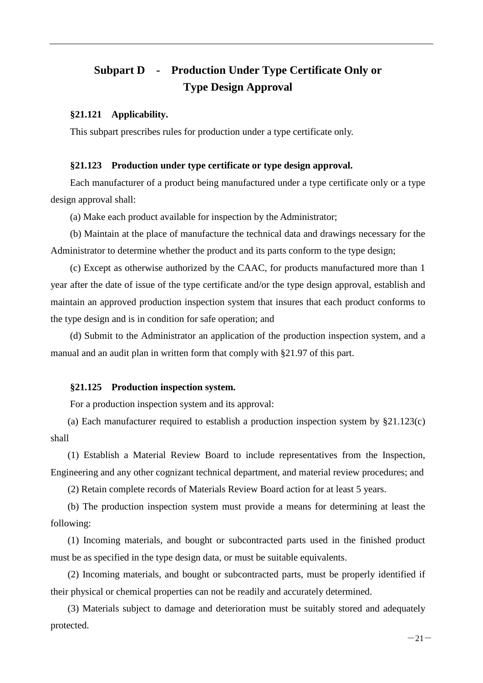## <span id="page-25-0"></span>**Subpart D - Production Under Type Certificate Only or Type Design Approval**

#### <span id="page-25-1"></span>**§21.121 Applicability.**

This subpart prescribes rules for production under a type certificate only.

#### <span id="page-25-2"></span>**§21.123 Production under type certificate or type design approval.**

Each manufacturer of a product being manufactured under a type certificate only or a type design approval shall:

(a) Make each product available for inspection by the Administrator;

(b) Maintain at the place of manufacture the technical data and drawings necessary for the Administrator to determine whether the product and its parts conform to the type design;

(c) Except as otherwise authorized by the CAAC, for products manufactured more than 1 year after the date of issue of the type certificate and/or the type design approval, establish and maintain an approved production inspection system that insures that each product conforms to the type design and is in condition for safe operation; and

(d) Submit to the Administrator an application of the production inspection system, and a manual and an audit plan in written form that comply with §21.97 of this part.

#### <span id="page-25-3"></span>**§21.125 Production inspection system.**

For a production inspection system and its approval:

(a) Each manufacturer required to establish a production inspection system by §21.123(c) shall

(1) Establish a Material Review Board to include representatives from the Inspection, Engineering and any other cognizant technical department, and material review procedures; and

(2) Retain complete records of Materials Review Board action for at least 5 years.

(b) The production inspection system must provide a means for determining at least the following:

(1) Incoming materials, and bought or subcontracted parts used in the finished product must be as specified in the type design data, or must be suitable equivalents.

(2) Incoming materials, and bought or subcontracted parts, must be properly identified if their physical or chemical properties can not be readily and accurately determined.

(3) Materials subject to damage and deterioration must be suitably stored and adequately protected.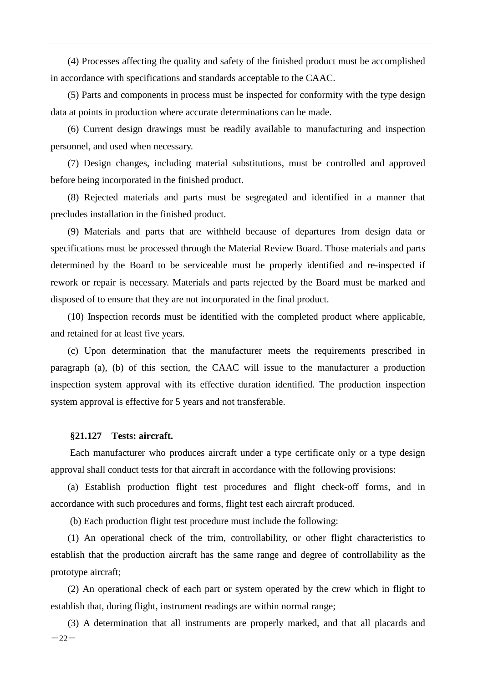(4) Processes affecting the quality and safety of the finished product must be accomplished in accordance with specifications and standards acceptable to the CAAC.

(5) Parts and components in process must be inspected for conformity with the type design data at points in production where accurate determinations can be made.

(6) Current design drawings must be readily available to manufacturing and inspection personnel, and used when necessary.

(7) Design changes, including material substitutions, must be controlled and approved before being incorporated in the finished product.

(8) Rejected materials and parts must be segregated and identified in a manner that precludes installation in the finished product.

(9) Materials and parts that are withheld because of departures from design data or specifications must be processed through the Material Review Board. Those materials and parts determined by the Board to be serviceable must be properly identified and re-inspected if rework or repair is necessary. Materials and parts rejected by the Board must be marked and disposed of to ensure that they are not incorporated in the final product.

(10) Inspection records must be identified with the completed product where applicable, and retained for at least five years.

(c) Upon determination that the manufacturer meets the requirements prescribed in paragraph (a), (b) of this section, the CAAC will issue to the manufacturer a production inspection system approval with its effective duration identified. The production inspection system approval is effective for 5 years and not transferable.

#### <span id="page-26-0"></span>**§21.127 Tests: aircraft.**

Each manufacturer who produces aircraft under a type certificate only or a type design approval shall conduct tests for that aircraft in accordance with the following provisions:

(a) Establish production flight test procedures and flight check-off forms, and in accordance with such procedures and forms, flight test each aircraft produced.

(b) Each production flight test procedure must include the following:

(1) An operational check of the trim, controllability, or other flight characteristics to establish that the production aircraft has the same range and degree of controllability as the prototype aircraft;

(2) An operational check of each part or system operated by the crew which in flight to establish that, during flight, instrument readings are within normal range;

 $-22-$ (3) A determination that all instruments are properly marked, and that all placards and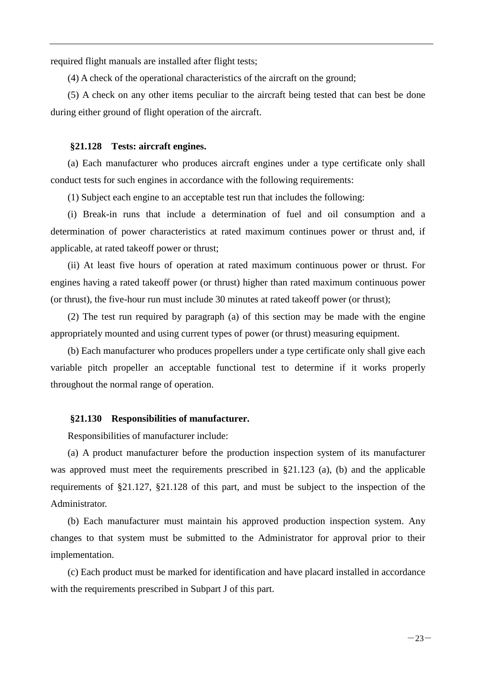required flight manuals are installed after flight tests;

(4) A check of the operational characteristics of the aircraft on the ground;

(5) A check on any other items peculiar to the aircraft being tested that can best be done during either ground of flight operation of the aircraft.

#### <span id="page-27-0"></span>**§21.128 Tests: aircraft engines.**

(a) Each manufacturer who produces aircraft engines under a type certificate only shall conduct tests for such engines in accordance with the following requirements:

(1) Subject each engine to an acceptable test run that includes the following:

(i) Break-in runs that include a determination of fuel and oil consumption and a determination of power characteristics at rated maximum continues power or thrust and, if applicable, at rated takeoff power or thrust;

(ii) At least five hours of operation at rated maximum continuous power or thrust. For engines having a rated takeoff power (or thrust) higher than rated maximum continuous power (or thrust), the five-hour run must include 30 minutes at rated takeoff power (or thrust);

(2) The test run required by paragraph (a) of this section may be made with the engine appropriately mounted and using current types of power (or thrust) measuring equipment.

(b) Each manufacturer who produces propellers under a type certificate only shall give each variable pitch propeller an acceptable functional test to determine if it works properly throughout the normal range of operation.

#### <span id="page-27-1"></span>**§21.130 Responsibilities of manufacturer.**

Responsibilities of manufacturer include:

(a) A product manufacturer before the production inspection system of its manufacturer was approved must meet the requirements prescribed in §21.123 (a), (b) and the applicable requirements of §21.127, §21.128 of this part, and must be subject to the inspection of the Administrator.

(b) Each manufacturer must maintain his approved production inspection system. Any changes to that system must be submitted to the Administrator for approval prior to their implementation.

(c) Each product must be marked for identification and have placard installed in accordance with the requirements prescribed in Subpart J of this part.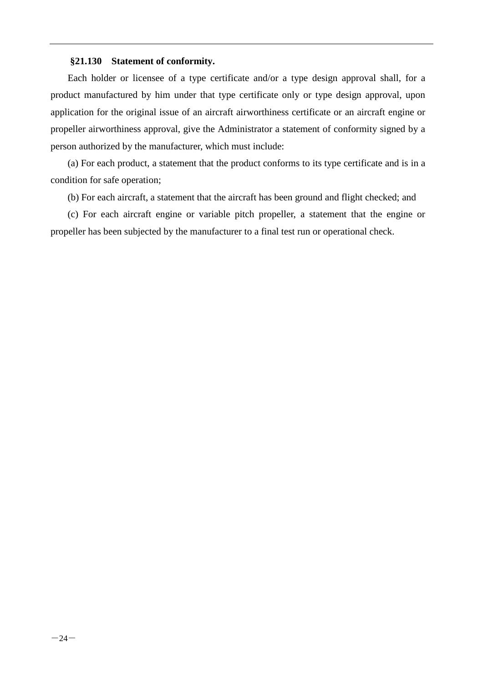#### <span id="page-28-0"></span>**§21.130 Statement of conformity.**

Each holder or licensee of a type certificate and/or a type design approval shall, for a product manufactured by him under that type certificate only or type design approval, upon application for the original issue of an aircraft airworthiness certificate or an aircraft engine or propeller airworthiness approval, give the Administrator a statement of conformity signed by a person authorized by the manufacturer, which must include:

(a) For each product, a statement that the product conforms to its type certificate and is in a condition for safe operation;

(b) For each aircraft, a statement that the aircraft has been ground and flight checked; and

(c) For each aircraft engine or variable pitch propeller, a statement that the engine or propeller has been subjected by the manufacturer to a final test run or operational check.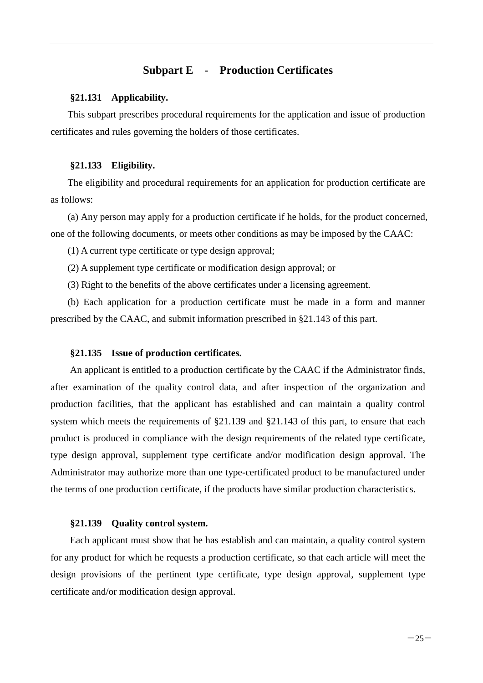#### **Subpart E - Production Certificates**

#### <span id="page-29-1"></span><span id="page-29-0"></span>**§21.131 Applicability.**

This subpart prescribes procedural requirements for the application and issue of production certificates and rules governing the holders of those certificates.

#### <span id="page-29-2"></span>**§21.133 Eligibility.**

The eligibility and procedural requirements for an application for production certificate are as follows:

(a) Any person may apply for a production certificate if he holds, for the product concerned, one of the following documents, or meets other conditions as may be imposed by the CAAC:

(1) A current type certificate or type design approval;

(2) A supplement type certificate or modification design approval; or

(3) Right to the benefits of the above certificates under a licensing agreement.

(b) Each application for a production certificate must be made in a form and manner prescribed by the CAAC, and submit information prescribed in §21.143 of this part.

#### <span id="page-29-3"></span>**§21.135 Issue of production certificates.**

An applicant is entitled to a production certificate by the CAAC if the Administrator finds, after examination of the quality control data, and after inspection of the organization and production facilities, that the applicant has established and can maintain a quality control system which meets the requirements of §21.139 and §21.143 of this part, to ensure that each product is produced in compliance with the design requirements of the related type certificate, type design approval, supplement type certificate and/or modification design approval. The Administrator may authorize more than one type-certificated product to be manufactured under the terms of one production certificate, if the products have similar production characteristics.

#### <span id="page-29-4"></span>**§21.139 Quality control system.**

Each applicant must show that he has establish and can maintain, a quality control system for any product for which he requests a production certificate, so that each article will meet the design provisions of the pertinent type certificate, type design approval, supplement type certificate and/or modification design approval.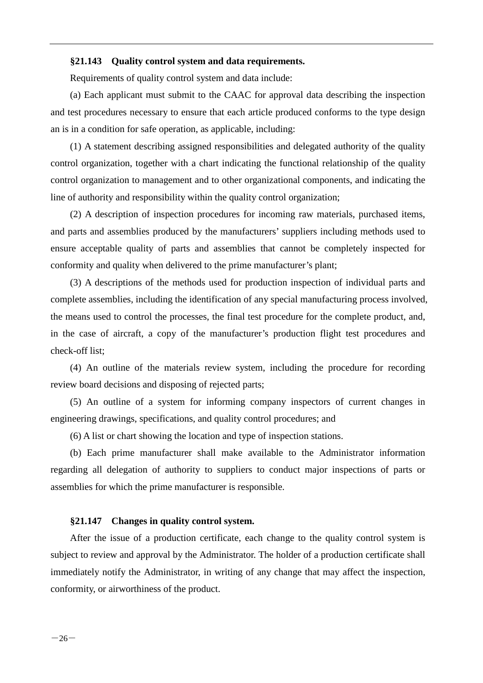#### <span id="page-30-0"></span>**§21.143 Quality control system and data requirements.**

Requirements of quality control system and data include:

(a) Each applicant must submit to the CAAC for approval data describing the inspection and test procedures necessary to ensure that each article produced conforms to the type design an is in a condition for safe operation, as applicable, including:

(1) A statement describing assigned responsibilities and delegated authority of the quality control organization, together with a chart indicating the functional relationship of the quality control organization to management and to other organizational components, and indicating the line of authority and responsibility within the quality control organization;

(2) A description of inspection procedures for incoming raw materials, purchased items, and parts and assemblies produced by the manufacturers' suppliers including methods used to ensure acceptable quality of parts and assemblies that cannot be completely inspected for conformity and quality when delivered to the prime manufacturer's plant;

(3) A descriptions of the methods used for production inspection of individual parts and complete assemblies, including the identification of any special manufacturing process involved, the means used to control the processes, the final test procedure for the complete product, and, in the case of aircraft, a copy of the manufacturer's production flight test procedures and check-off list;

(4) An outline of the materials review system, including the procedure for recording review board decisions and disposing of rejected parts;

(5) An outline of a system for informing company inspectors of current changes in engineering drawings, specifications, and quality control procedures; and

(6) A list or chart showing the location and type of inspection stations.

(b) Each prime manufacturer shall make available to the Administrator information regarding all delegation of authority to suppliers to conduct major inspections of parts or assemblies for which the prime manufacturer is responsible.

#### <span id="page-30-1"></span>**§21.147 Changes in quality control system.**

After the issue of a production certificate, each change to the quality control system is subject to review and approval by the Administrator. The holder of a production certificate shall immediately notify the Administrator, in writing of any change that may affect the inspection, conformity, or airworthiness of the product.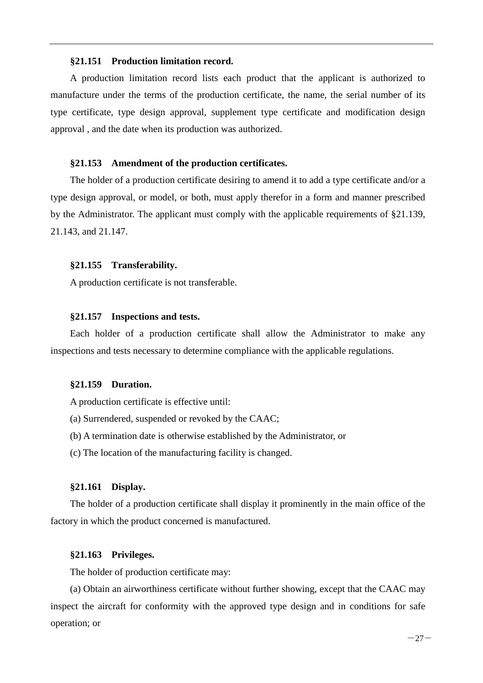#### <span id="page-31-0"></span>**§21.151 Production limitation record.**

A production limitation record lists each product that the applicant is authorized to manufacture under the terms of the production certificate, the name, the serial number of its type certificate, type design approval, supplement type certificate and modification design approval , and the date when its production was authorized.

#### <span id="page-31-1"></span>**§21.153 Amendment of the production certificates.**

The holder of a production certificate desiring to amend it to add a type certificate and/or a type design approval, or model, or both, must apply therefor in a form and manner prescribed by the Administrator. The applicant must comply with the applicable requirements of §21.139, 21.143, and 21.147.

#### <span id="page-31-2"></span>**§21.155 Transferability.**

A production certificate is not transferable.

#### <span id="page-31-3"></span>**§21.157 Inspections and tests.**

Each holder of a production certificate shall allow the Administrator to make any inspections and tests necessary to determine compliance with the applicable regulations.

#### <span id="page-31-4"></span>**§21.159 Duration.**

A production certificate is effective until:

- (a) Surrendered, suspended or revoked by the CAAC;
- (b) A termination date is otherwise established by the Administrator, or
- (c) The location of the manufacturing facility is changed.

#### <span id="page-31-5"></span>**§21.161 Display.**

The holder of a production certificate shall display it prominently in the main office of the factory in which the product concerned is manufactured.

#### <span id="page-31-6"></span>**§21.163 Privileges.**

The holder of production certificate may:

(a) Obtain an airworthiness certificate without further showing, except that the CAAC may inspect the aircraft for conformity with the approved type design and in conditions for safe operation; or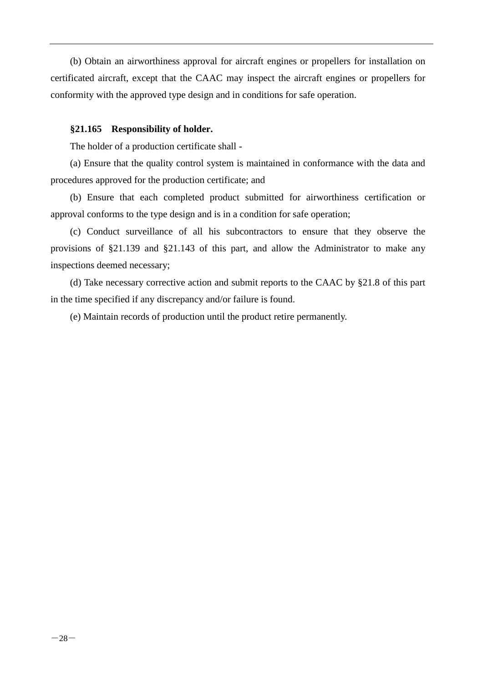(b) Obtain an airworthiness approval for aircraft engines or propellers for installation on certificated aircraft, except that the CAAC may inspect the aircraft engines or propellers for conformity with the approved type design and in conditions for safe operation.

#### <span id="page-32-0"></span>**§21.165 Responsibility of holder.**

The holder of a production certificate shall -

(a) Ensure that the quality control system is maintained in conformance with the data and procedures approved for the production certificate; and

(b) Ensure that each completed product submitted for airworthiness certification or approval conforms to the type design and is in a condition for safe operation;

(c) Conduct surveillance of all his subcontractors to ensure that they observe the provisions of §21.139 and §21.143 of this part, and allow the Administrator to make any inspections deemed necessary;

(d) Take necessary corrective action and submit reports to the CAAC by §21.8 of this part in the time specified if any discrepancy and/or failure is found.

(e) Maintain records of production until the product retire permanently.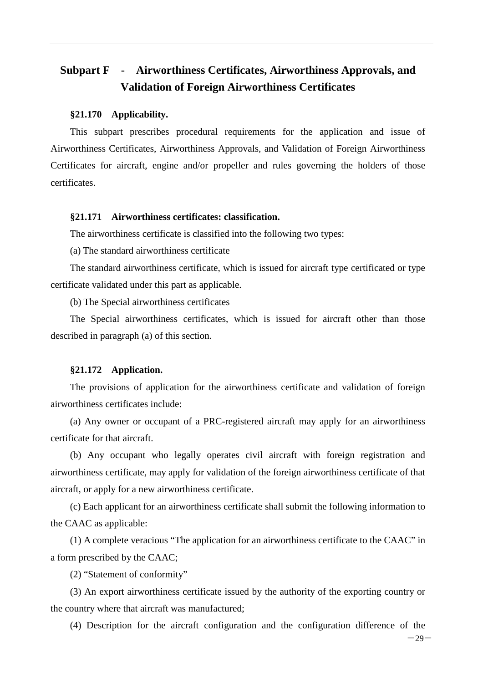## <span id="page-33-0"></span>**Subpart F - Airworthiness Certificates, Airworthiness Approvals, and Validation of Foreign Airworthiness Certificates**

#### <span id="page-33-1"></span>**§21.170 Applicability.**

This subpart prescribes procedural requirements for the application and issue of Airworthiness Certificates, Airworthiness Approvals, and Validation of Foreign Airworthiness Certificates for aircraft, engine and/or propeller and rules governing the holders of those certificates.

#### <span id="page-33-2"></span>**§21.171 Airworthiness certificates: classification.**

The airworthiness certificate is classified into the following two types:

(a) The standard airworthiness certificate

The standard airworthiness certificate, which is issued for aircraft type certificated or type certificate validated under this part as applicable.

(b) The Special airworthiness certificates

The Special airworthiness certificates, which is issued for aircraft other than those described in paragraph (a) of this section.

#### <span id="page-33-3"></span>**§21.172 Application.**

The provisions of application for the airworthiness certificate and validation of foreign airworthiness certificates include:

(a) Any owner or occupant of a PRC-registered aircraft may apply for an airworthiness certificate for that aircraft.

(b) Any occupant who legally operates civil aircraft with foreign registration and airworthiness certificate, may apply for validation of the foreign airworthiness certificate of that aircraft, or apply for a new airworthiness certificate.

(c) Each applicant for an airworthiness certificate shall submit the following information to the CAAC as applicable:

(1) A complete veracious "The application for an airworthiness certificate to the CAAC" in a form prescribed by the CAAC;

(2) "Statement of conformity"

(3) An export airworthiness certificate issued by the authority of the exporting country or the country where that aircraft was manufactured;

(4) Description for the aircraft configuration and the configuration difference of the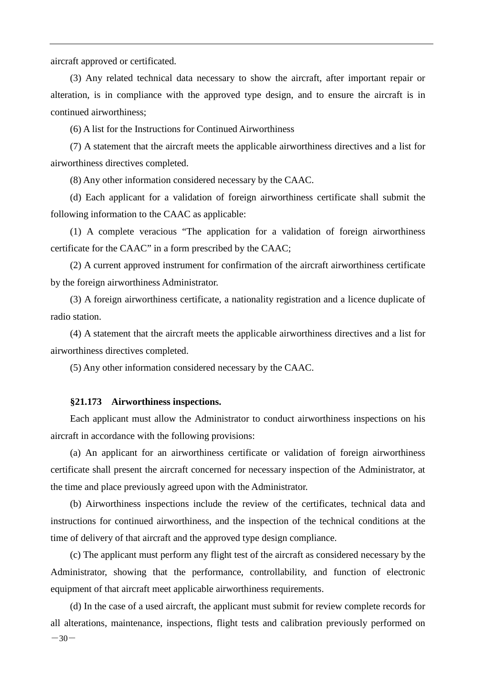aircraft approved or certificated.

(3) Any related technical data necessary to show the aircraft, after important repair or alteration, is in compliance with the approved type design, and to ensure the aircraft is in continued airworthiness;

(6) A list for the Instructions for Continued Airworthiness

(7) A statement that the aircraft meets the applicable airworthiness directives and a list for airworthiness directives completed.

(8) Any other information considered necessary by the CAAC.

(d) Each applicant for a validation of foreign airworthiness certificate shall submit the following information to the CAAC as applicable:

(1) A complete veracious "The application for a validation of foreign airworthiness certificate for the CAAC" in a form prescribed by the CAAC;

(2) A current approved instrument for confirmation of the aircraft airworthiness certificate by the foreign airworthiness Administrator.

(3) A foreign airworthiness certificate, a nationality registration and a licence duplicate of radio station.

(4) A statement that the aircraft meets the applicable airworthiness directives and a list for airworthiness directives completed.

(5) Any other information considered necessary by the CAAC.

#### <span id="page-34-0"></span>**§21.173 Airworthiness inspections.**

Each applicant must allow the Administrator to conduct airworthiness inspections on his aircraft in accordance with the following provisions:

(a) An applicant for an airworthiness certificate or validation of foreign airworthiness certificate shall present the aircraft concerned for necessary inspection of the Administrator, at the time and place previously agreed upon with the Administrator.

(b) Airworthiness inspections include the review of the certificates, technical data and instructions for continued airworthiness, and the inspection of the technical conditions at the time of delivery of that aircraft and the approved type design compliance.

(c) The applicant must perform any flight test of the aircraft as considered necessary by the Administrator, showing that the performance, controllability, and function of electronic equipment of that aircraft meet applicable airworthiness requirements.

 $-30-$ (d) In the case of a used aircraft, the applicant must submit for review complete records for all alterations, maintenance, inspections, flight tests and calibration previously performed on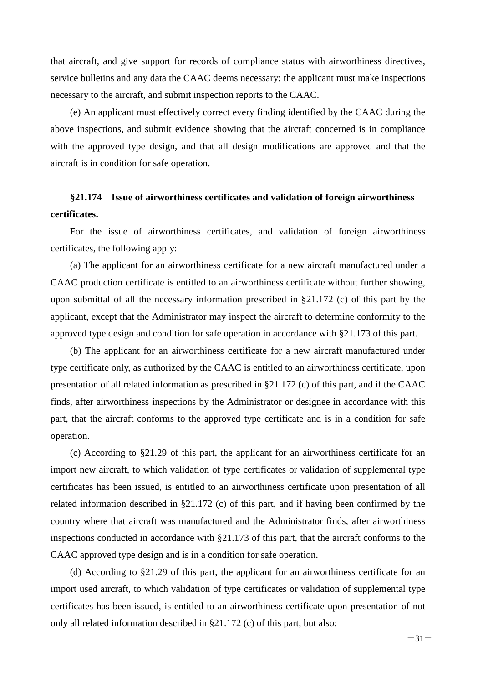that aircraft, and give support for records of compliance status with airworthiness directives, service bulletins and any data the CAAC deems necessary; the applicant must make inspections necessary to the aircraft, and submit inspection reports to the CAAC.

(e) An applicant must effectively correct every finding identified by the CAAC during the above inspections, and submit evidence showing that the aircraft concerned is in compliance with the approved type design, and that all design modifications are approved and that the aircraft is in condition for safe operation.

## <span id="page-35-0"></span>**§21.174 Issue of airworthiness certificates and validation of foreign airworthiness certificates.**

For the issue of airworthiness certificates, and validation of foreign airworthiness certificates, the following apply:

(a) The applicant for an airworthiness certificate for a new aircraft manufactured under a CAAC production certificate is entitled to an airworthiness certificate without further showing, upon submittal of all the necessary information prescribed in §21.172 (c) of this part by the applicant, except that the Administrator may inspect the aircraft to determine conformity to the approved type design and condition for safe operation in accordance with §21.173 of this part.

(b) The applicant for an airworthiness certificate for a new aircraft manufactured under type certificate only, as authorized by the CAAC is entitled to an airworthiness certificate, upon presentation of all related information as prescribed in §21.172 (c) of this part, and if the CAAC finds, after airworthiness inspections by the Administrator or designee in accordance with this part, that the aircraft conforms to the approved type certificate and is in a condition for safe operation.

(c) According to §21.29 of this part, the applicant for an airworthiness certificate for an import new aircraft, to which validation of type certificates or validation of supplemental type certificates has been issued, is entitled to an airworthiness certificate upon presentation of all related information described in §21.172 (c) of this part, and if having been confirmed by the country where that aircraft was manufactured and the Administrator finds, after airworthiness inspections conducted in accordance with §21.173 of this part, that the aircraft conforms to the CAAC approved type design and is in a condition for safe operation.

(d) According to §21.29 of this part, the applicant for an airworthiness certificate for an import used aircraft, to which validation of type certificates or validation of supplemental type certificates has been issued, is entitled to an airworthiness certificate upon presentation of not only all related information described in §21.172 (c) of this part, but also: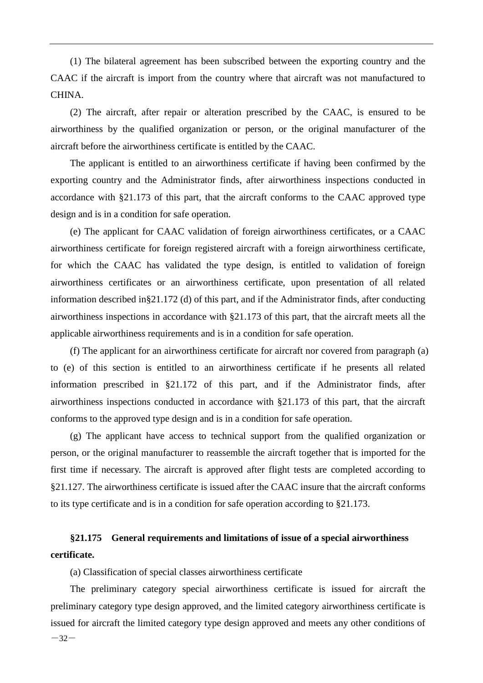(1) The bilateral agreement has been subscribed between the exporting country and the CAAC if the aircraft is import from the country where that aircraft was not manufactured to CHINA.

(2) The aircraft, after repair or alteration prescribed by the CAAC, is ensured to be airworthiness by the qualified organization or person, or the original manufacturer of the aircraft before the airworthiness certificate is entitled by the CAAC.

The applicant is entitled to an airworthiness certificate if having been confirmed by the exporting country and the Administrator finds, after airworthiness inspections conducted in accordance with §21.173 of this part, that the aircraft conforms to the CAAC approved type design and is in a condition for safe operation.

(e) The applicant for CAAC validation of foreign airworthiness certificates, or a CAAC airworthiness certificate for foreign registered aircraft with a foreign airworthiness certificate, for which the CAAC has validated the type design, is entitled to validation of foreign airworthiness certificates or an airworthiness certificate, upon presentation of all related information described in§21.172 (d) of this part, and if the Administrator finds, after conducting airworthiness inspections in accordance with §21.173 of this part, that the aircraft meets all the applicable airworthiness requirements and is in a condition for safe operation.

(f) The applicant for an airworthiness certificate for aircraft nor covered from paragraph (a) to (e) of this section is entitled to an airworthiness certificate if he presents all related information prescribed in §21.172 of this part, and if the Administrator finds, after airworthiness inspections conducted in accordance with §21.173 of this part, that the aircraft conforms to the approved type design and is in a condition for safe operation.

(g) The applicant have access to technical support from the qualified organization or person, or the original manufacturer to reassemble the aircraft together that is imported for the first time if necessary. The aircraft is approved after flight tests are completed according to §21.127. The airworthiness certificate is issued after the CAAC insure that the aircraft conforms to its type certificate and is in a condition for safe operation according to §21.173.

## <span id="page-36-0"></span>**§21.175 General requirements and limitations of issue of a special airworthiness certificate.**

(a) Classification of special classes airworthiness certificate

 $-32-$ The preliminary category special airworthiness certificate is issued for aircraft the preliminary category type design approved, and the limited category airworthiness certificate is issued for aircraft the limited category type design approved and meets any other conditions of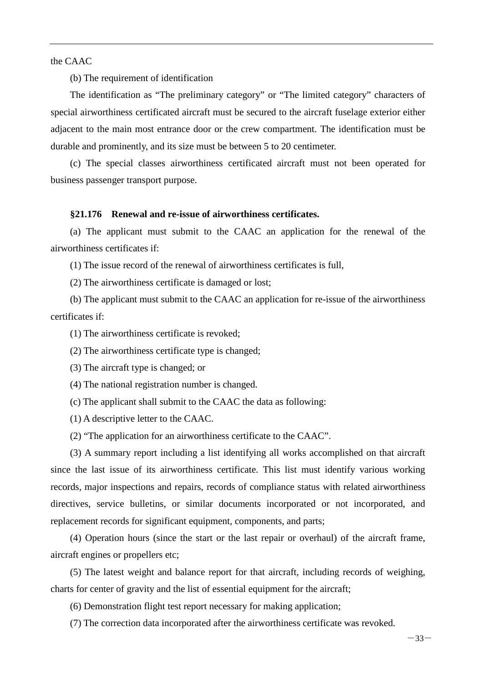the CAAC

(b) The requirement of identification

The identification as "The preliminary category" or "The limited category" characters of special airworthiness certificated aircraft must be secured to the aircraft fuselage exterior either adjacent to the main most entrance door or the crew compartment. The identification must be durable and prominently, and its size must be between 5 to 20 centimeter.

(c) The special classes airworthiness certificated aircraft must not been operated for business passenger transport purpose.

#### <span id="page-37-0"></span>**§21.176 Renewal and re-issue of airworthiness certificates.**

(a) The applicant must submit to the CAAC an application for the renewal of the airworthiness certificates if:

(1) The issue record of the renewal of airworthiness certificates is full,

(2) The airworthiness certificate is damaged or lost;

(b) The applicant must submit to the CAAC an application for re-issue of the airworthiness certificates if:

(1) The airworthiness certificate is revoked;

(2) The airworthiness certificate type is changed;

(3) The aircraft type is changed; or

(4) The national registration number is changed.

(c) The applicant shall submit to the CAAC the data as following:

(1) A descriptive letter to the CAAC.

(2) "The application for an airworthiness certificate to the CAAC".

(3) A summary report including a list identifying all works accomplished on that aircraft since the last issue of its airworthiness certificate. This list must identify various working records, major inspections and repairs, records of compliance status with related airworthiness directives, service bulletins, or similar documents incorporated or not incorporated, and replacement records for significant equipment, components, and parts;

(4) Operation hours (since the start or the last repair or overhaul) of the aircraft frame, aircraft engines or propellers etc;

(5) The latest weight and balance report for that aircraft, including records of weighing, charts for center of gravity and the list of essential equipment for the aircraft;

(6) Demonstration flight test report necessary for making application;

(7) The correction data incorporated after the airworthiness certificate was revoked.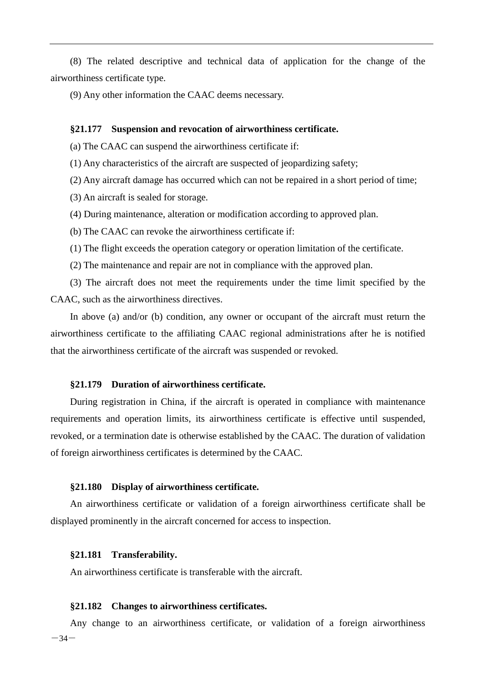(8) The related descriptive and technical data of application for the change of the airworthiness certificate type.

(9) Any other information the CAAC deems necessary.

#### <span id="page-38-0"></span>**§21.177 Suspension and revocation of airworthiness certificate.**

(a) The CAAC can suspend the airworthiness certificate if:

(1) Any characteristics of the aircraft are suspected of jeopardizing safety;

(2) Any aircraft damage has occurred which can not be repaired in a short period of time;

(3) An aircraft is sealed for storage.

(4) During maintenance, alteration or modification according to approved plan.

(b) The CAAC can revoke the airworthiness certificate if:

(1) The flight exceeds the operation category or operation limitation of the certificate.

(2) The maintenance and repair are not in compliance with the approved plan.

(3) The aircraft does not meet the requirements under the time limit specified by the CAAC, such as the airworthiness directives.

In above (a) and/or (b) condition, any owner or occupant of the aircraft must return the airworthiness certificate to the affiliating CAAC regional administrations after he is notified that the airworthiness certificate of the aircraft was suspended or revoked.

#### <span id="page-38-1"></span>**§21.179 Duration of airworthiness certificate.**

During registration in China, if the aircraft is operated in compliance with maintenance requirements and operation limits, its airworthiness certificate is effective until suspended, revoked, or a termination date is otherwise established by the CAAC. The duration of validation of foreign airworthiness certificates is determined by the CAAC.

#### <span id="page-38-2"></span>**§21.180 Display of airworthiness certificate.**

An airworthiness certificate or validation of a foreign airworthiness certificate shall be displayed prominently in the aircraft concerned for access to inspection.

#### <span id="page-38-3"></span>**§21.181 Transferability.**

An airworthiness certificate is transferable with the aircraft.

#### <span id="page-38-4"></span>**§21.182 Changes to airworthiness certificates.**

 $-34-$ Any change to an airworthiness certificate, or validation of a foreign airworthiness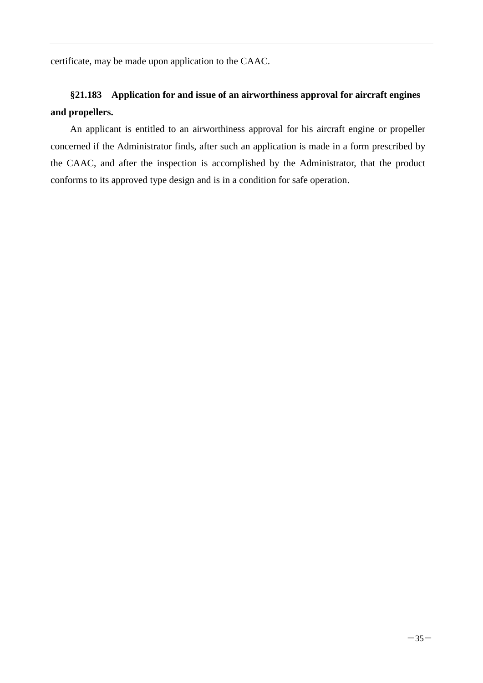certificate, may be made upon application to the CAAC.

## <span id="page-39-0"></span>**§21.183 Application for and issue of an airworthiness approval for aircraft engines and propellers.**

An applicant is entitled to an airworthiness approval for his aircraft engine or propeller concerned if the Administrator finds, after such an application is made in a form prescribed by the CAAC, and after the inspection is accomplished by the Administrator, that the product conforms to its approved type design and is in a condition for safe operation.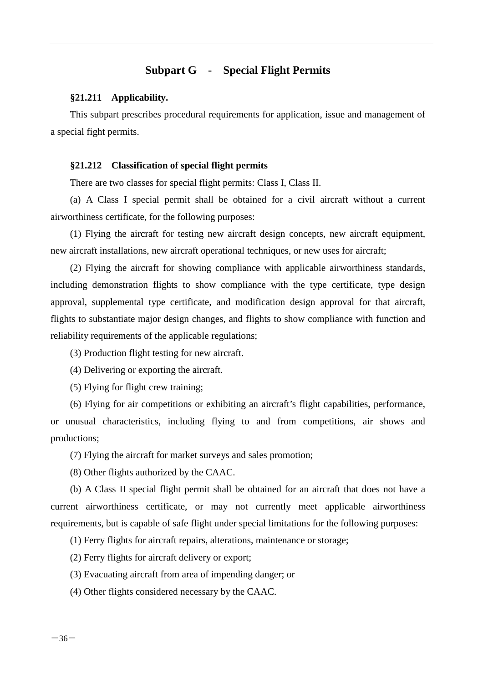## **Subpart G - Special Flight Permits**

#### <span id="page-40-1"></span><span id="page-40-0"></span>**§21.211 Applicability.**

This subpart prescribes procedural requirements for application, issue and management of a special fight permits.

#### <span id="page-40-2"></span>**§21.212 Classification of special flight permits**

There are two classes for special flight permits: Class I, Class II.

(a) A Class I special permit shall be obtained for a civil aircraft without a current airworthiness certificate, for the following purposes:

(1) Flying the aircraft for testing new aircraft design concepts, new aircraft equipment, new aircraft installations, new aircraft operational techniques, or new uses for aircraft;

(2) Flying the aircraft for showing compliance with applicable airworthiness standards, including demonstration flights to show compliance with the type certificate, type design approval, supplemental type certificate, and modification design approval for that aircraft, flights to substantiate major design changes, and flights to show compliance with function and reliability requirements of the applicable regulations;

(3) Production flight testing for new aircraft.

(4) Delivering or exporting the aircraft.

(5) Flying for flight crew training;

(6) Flying for air competitions or exhibiting an aircraft's flight capabilities, performance, or unusual characteristics, including flying to and from competitions, air shows and productions;

(7) Flying the aircraft for market surveys and sales promotion;

(8) Other flights authorized by the CAAC.

(b) A Class II special flight permit shall be obtained for an aircraft that does not have a current airworthiness certificate, or may not currently meet applicable airworthiness requirements, but is capable of safe flight under special limitations for the following purposes:

(1) Ferry flights for aircraft repairs, alterations, maintenance or storage;

(2) Ferry flights for aircraft delivery or export;

(3) Evacuating aircraft from area of impending danger; or

(4) Other flights considered necessary by the CAAC.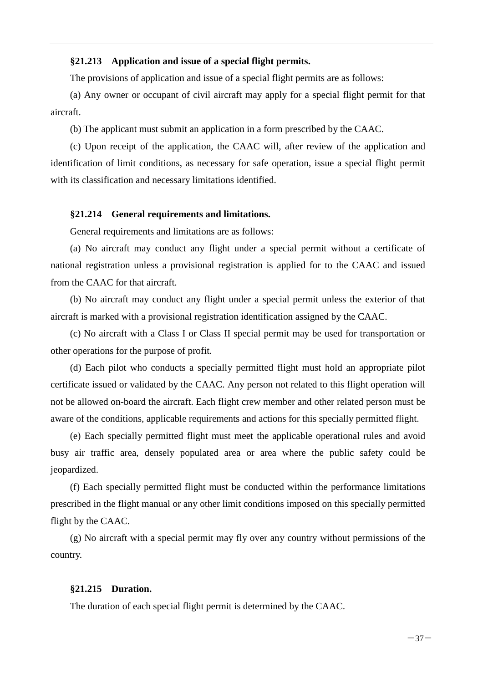#### <span id="page-41-0"></span>**§21.213 Application and issue of a special flight permits.**

The provisions of application and issue of a special flight permits are as follows:

(a) Any owner or occupant of civil aircraft may apply for a special flight permit for that aircraft.

(b) The applicant must submit an application in a form prescribed by the CAAC.

(c) Upon receipt of the application, the CAAC will, after review of the application and identification of limit conditions, as necessary for safe operation, issue a special flight permit with its classification and necessary limitations identified.

#### <span id="page-41-1"></span>**§21.214 General requirements and limitations.**

General requirements and limitations are as follows:

(a) No aircraft may conduct any flight under a special permit without a certificate of national registration unless a provisional registration is applied for to the CAAC and issued from the CAAC for that aircraft.

(b) No aircraft may conduct any flight under a special permit unless the exterior of that aircraft is marked with a provisional registration identification assigned by the CAAC.

(c) No aircraft with a Class I or Class II special permit may be used for transportation or other operations for the purpose of profit.

(d) Each pilot who conducts a specially permitted flight must hold an appropriate pilot certificate issued or validated by the CAAC. Any person not related to this flight operation will not be allowed on-board the aircraft. Each flight crew member and other related person must be aware of the conditions, applicable requirements and actions for this specially permitted flight.

(e) Each specially permitted flight must meet the applicable operational rules and avoid busy air traffic area, densely populated area or area where the public safety could be jeopardized.

(f) Each specially permitted flight must be conducted within the performance limitations prescribed in the flight manual or any other limit conditions imposed on this specially permitted flight by the CAAC.

(g) No aircraft with a special permit may fly over any country without permissions of the country.

#### <span id="page-41-2"></span>**§21.215 Duration.**

The duration of each special flight permit is determined by the CAAC.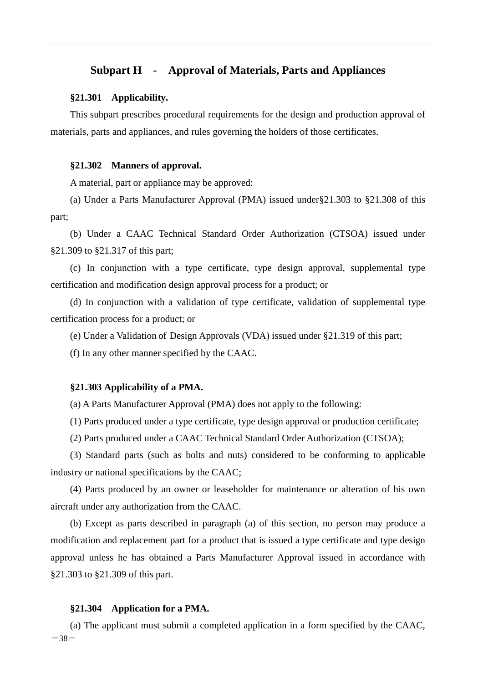#### <span id="page-42-0"></span>**Subpart H - Approval of Materials, Parts and Appliances**

#### <span id="page-42-1"></span>**§21.301 Applicability.**

This subpart prescribes procedural requirements for the design and production approval of materials, parts and appliances, and rules governing the holders of those certificates.

#### <span id="page-42-2"></span>**§21.302 Manners of approval.**

A material, part or appliance may be approved:

(a) Under a Parts Manufacturer Approval (PMA) issued under§21.303 to §21.308 of this part;

(b) Under a CAAC Technical Standard Order Authorization (CTSOA) issued under §21.309 to §21.317 of this part;

(c) In conjunction with a type certificate, type design approval, supplemental type certification and modification design approval process for a product; or

(d) In conjunction with a validation of type certificate, validation of supplemental type certification process for a product; or

(e) Under a Validation of Design Approvals (VDA) issued under §21.319 of this part;

(f) In any other manner specified by the CAAC.

#### <span id="page-42-3"></span>**§21.303 Applicability of a PMA.**

(a) A Parts Manufacturer Approval (PMA) does not apply to the following:

(1) Parts produced under a type certificate, type design approval or production certificate;

(2) Parts produced under a CAAC Technical Standard Order Authorization (CTSOA);

(3) Standard parts (such as bolts and nuts) considered to be conforming to applicable industry or national specifications by the CAAC;

(4) Parts produced by an owner or leaseholder for maintenance or alteration of his own aircraft under any authorization from the CAAC.

(b) Except as parts described in paragraph (a) of this section, no person may produce a modification and replacement part for a product that is issued a type certificate and type design approval unless he has obtained a Parts Manufacturer Approval issued in accordance with §21.303 to §21.309 of this part.

#### <span id="page-42-4"></span>**§21.304 Application for a PMA.**

 $-38-$ (a) The applicant must submit a completed application in a form specified by the CAAC,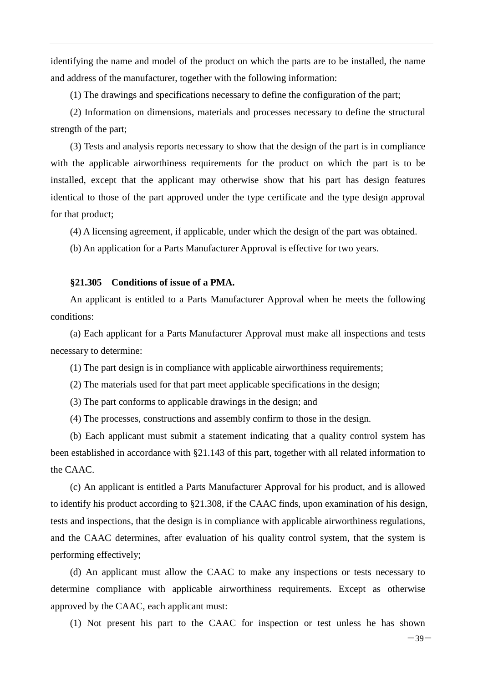identifying the name and model of the product on which the parts are to be installed, the name and address of the manufacturer, together with the following information:

(1) The drawings and specifications necessary to define the configuration of the part;

(2) Information on dimensions, materials and processes necessary to define the structural strength of the part;

(3) Tests and analysis reports necessary to show that the design of the part is in compliance with the applicable airworthiness requirements for the product on which the part is to be installed, except that the applicant may otherwise show that his part has design features identical to those of the part approved under the type certificate and the type design approval for that product;

(4) A licensing agreement, if applicable, under which the design of the part was obtained.

(b) An application for a Parts Manufacturer Approval is effective for two years.

#### <span id="page-43-0"></span>**§21.305 Conditions of issue of a PMA.**

An applicant is entitled to a Parts Manufacturer Approval when he meets the following conditions:

(a) Each applicant for a Parts Manufacturer Approval must make all inspections and tests necessary to determine:

(1) The part design is in compliance with applicable airworthiness requirements;

(2) The materials used for that part meet applicable specifications in the design;

(3) The part conforms to applicable drawings in the design; and

(4) The processes, constructions and assembly confirm to those in the design.

(b) Each applicant must submit a statement indicating that a quality control system has been established in accordance with §21.143 of this part, together with all related information to the CAAC.

(c) An applicant is entitled a Parts Manufacturer Approval for his product, and is allowed to identify his product according to §21.308, if the CAAC finds, upon examination of his design, tests and inspections, that the design is in compliance with applicable airworthiness regulations, and the CAAC determines, after evaluation of his quality control system, that the system is performing effectively;

(d) An applicant must allow the CAAC to make any inspections or tests necessary to determine compliance with applicable airworthiness requirements. Except as otherwise approved by the CAAC, each applicant must:

(1) Not present his part to the CAAC for inspection or test unless he has shown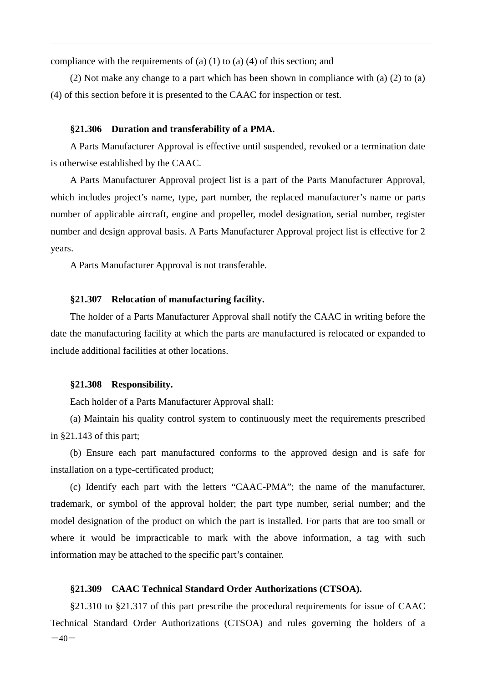compliance with the requirements of (a) (1) to (a) (4) of this section; and

(2) Not make any change to a part which has been shown in compliance with (a) (2) to (a) (4) of this section before it is presented to the CAAC for inspection or test.

#### <span id="page-44-0"></span>**§21.306 Duration and transferability of a PMA.**

A Parts Manufacturer Approval is effective until suspended, revoked or a termination date is otherwise established by the CAAC.

A Parts Manufacturer Approval project list is a part of the Parts Manufacturer Approval, which includes project's name, type, part number, the replaced manufacturer's name or parts number of applicable aircraft, engine and propeller, model designation, serial number, register number and design approval basis. A Parts Manufacturer Approval project list is effective for 2 years.

A Parts Manufacturer Approval is not transferable.

#### <span id="page-44-1"></span>**§21.307 Relocation of manufacturing facility.**

The holder of a Parts Manufacturer Approval shall notify the CAAC in writing before the date the manufacturing facility at which the parts are manufactured is relocated or expanded to include additional facilities at other locations.

#### <span id="page-44-2"></span>**§21.308 Responsibility.**

Each holder of a Parts Manufacturer Approval shall:

(a) Maintain his quality control system to continuously meet the requirements prescribed in §21.143 of this part;

(b) Ensure each part manufactured conforms to the approved design and is safe for installation on a type-certificated product;

(c) Identify each part with the letters "CAAC-PMA"; the name of the manufacturer, trademark, or symbol of the approval holder; the part type number, serial number; and the model designation of the product on which the part is installed. For parts that are too small or where it would be impracticable to mark with the above information, a tag with such information may be attached to the specific part's container.

#### <span id="page-44-3"></span>**§21.309 CAAC Technical Standard Order Authorizations (CTSOA).**

 $-40-$ §21.310 to §21.317 of this part prescribe the procedural requirements for issue of CAAC Technical Standard Order Authorizations (CTSOA) and rules governing the holders of a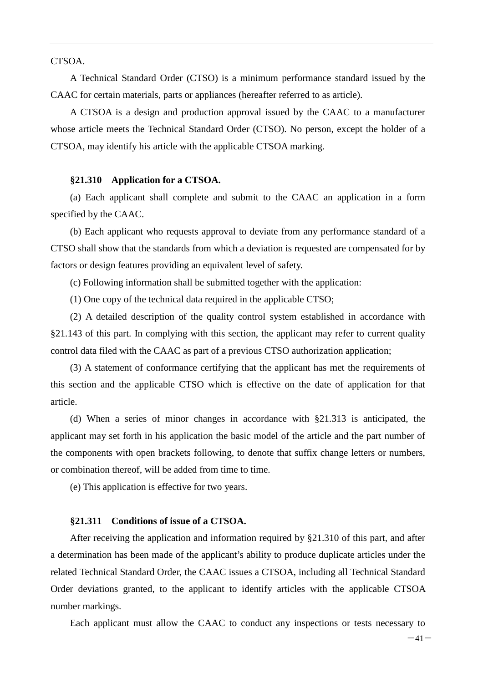CTSOA.

A Technical Standard Order (CTSO) is a minimum performance standard issued by the CAAC for certain materials, parts or appliances (hereafter referred to as article).

A CTSOA is a design and production approval issued by the CAAC to a manufacturer whose article meets the Technical Standard Order (CTSO). No person, except the holder of a CTSOA, may identify his article with the applicable CTSOA marking.

#### <span id="page-45-0"></span>**§21.310 Application for a CTSOA.**

(a) Each applicant shall complete and submit to the CAAC an application in a form specified by the CAAC.

(b) Each applicant who requests approval to deviate from any performance standard of a CTSO shall show that the standards from which a deviation is requested are compensated for by factors or design features providing an equivalent level of safety.

(c) Following information shall be submitted together with the application:

(1) One copy of the technical data required in the applicable CTSO;

(2) A detailed description of the quality control system established in accordance with §21.143 of this part. In complying with this section, the applicant may refer to current quality control data filed with the CAAC as part of a previous CTSO authorization application;

(3) A statement of conformance certifying that the applicant has met the requirements of this section and the applicable CTSO which is effective on the date of application for that article.

(d) When a series of minor changes in accordance with §21.313 is anticipated, the applicant may set forth in his application the basic model of the article and the part number of the components with open brackets following, to denote that suffix change letters or numbers, or combination thereof, will be added from time to time.

(e) This application is effective for two years.

#### <span id="page-45-1"></span>**§21.311 Conditions of issue of a CTSOA.**

After receiving the application and information required by §21.310 of this part, and after a determination has been made of the applicant's ability to produce duplicate articles under the related Technical Standard Order, the CAAC issues a CTSOA, including all Technical Standard Order deviations granted, to the applicant to identify articles with the applicable CTSOA number markings.

Each applicant must allow the CAAC to conduct any inspections or tests necessary to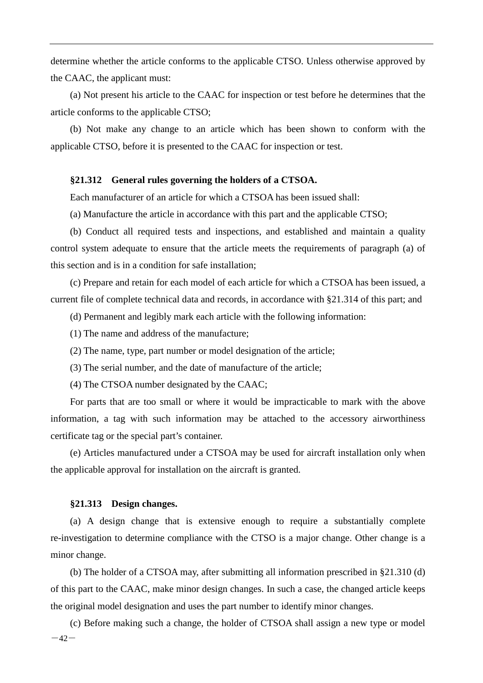determine whether the article conforms to the applicable CTSO. Unless otherwise approved by the CAAC, the applicant must:

(a) Not present his article to the CAAC for inspection or test before he determines that the article conforms to the applicable CTSO;

(b) Not make any change to an article which has been shown to conform with the applicable CTSO, before it is presented to the CAAC for inspection or test.

#### <span id="page-46-0"></span>**§21.312 General rules governing the holders of a CTSOA.**

Each manufacturer of an article for which a CTSOA has been issued shall:

(a) Manufacture the article in accordance with this part and the applicable CTSO;

(b) Conduct all required tests and inspections, and established and maintain a quality control system adequate to ensure that the article meets the requirements of paragraph (a) of this section and is in a condition for safe installation;

(c) Prepare and retain for each model of each article for which a CTSOA has been issued, a current file of complete technical data and records, in accordance with §21.314 of this part; and

(d) Permanent and legibly mark each article with the following information:

- (1) The name and address of the manufacture;
- (2) The name, type, part number or model designation of the article;
- (3) The serial number, and the date of manufacture of the article;
- (4) The CTSOA number designated by the CAAC;

For parts that are too small or where it would be impracticable to mark with the above information, a tag with such information may be attached to the accessory airworthiness certificate tag or the special part's container.

(e) Articles manufactured under a CTSOA may be used for aircraft installation only when the applicable approval for installation on the aircraft is granted.

#### <span id="page-46-1"></span>**§21.313 Design changes.**

(a) A design change that is extensive enough to require a substantially complete re-investigation to determine compliance with the CTSO is a major change. Other change is a minor change.

(b) The holder of a CTSOA may, after submitting all information prescribed in §21.310 (d) of this part to the CAAC, make minor design changes. In such a case, the changed article keeps the original model designation and uses the part number to identify minor changes.

 $-42-$ (c) Before making such a change, the holder of CTSOA shall assign a new type or model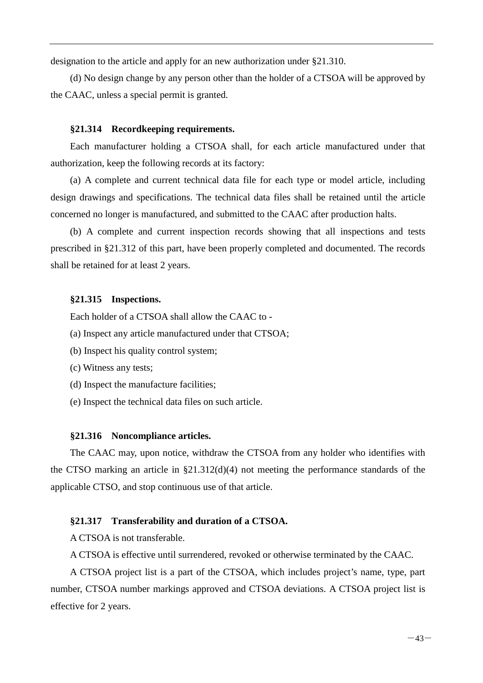designation to the article and apply for an new authorization under §21.310.

(d) No design change by any person other than the holder of a CTSOA will be approved by the CAAC, unless a special permit is granted.

#### <span id="page-47-0"></span>**§21.314 Recordkeeping requirements.**

Each manufacturer holding a CTSOA shall, for each article manufactured under that authorization, keep the following records at its factory:

(a) A complete and current technical data file for each type or model article, including design drawings and specifications. The technical data files shall be retained until the article concerned no longer is manufactured, and submitted to the CAAC after production halts.

(b) A complete and current inspection records showing that all inspections and tests prescribed in §21.312 of this part, have been properly completed and documented. The records shall be retained for at least 2 years.

#### <span id="page-47-1"></span>**§21.315 Inspections.**

Each holder of a CTSOA shall allow the CAAC to -

- (a) Inspect any article manufactured under that CTSOA;
- (b) Inspect his quality control system;
- (c) Witness any tests;
- (d) Inspect the manufacture facilities;
- (e) Inspect the technical data files on such article.

#### <span id="page-47-2"></span>**§21.316 Noncompliance articles.**

The CAAC may, upon notice, withdraw the CTSOA from any holder who identifies with the CTSO marking an article in §21.312(d)(4) not meeting the performance standards of the applicable CTSO, and stop continuous use of that article.

#### <span id="page-47-3"></span>**§21.317 Transferability and duration of a CTSOA.**

A CTSOA is not transferable.

A CTSOA is effective until surrendered, revoked or otherwise terminated by the CAAC.

A CTSOA project list is a part of the CTSOA, which includes project's name, type, part number, CTSOA number markings approved and CTSOA deviations. A CTSOA project list is effective for 2 years.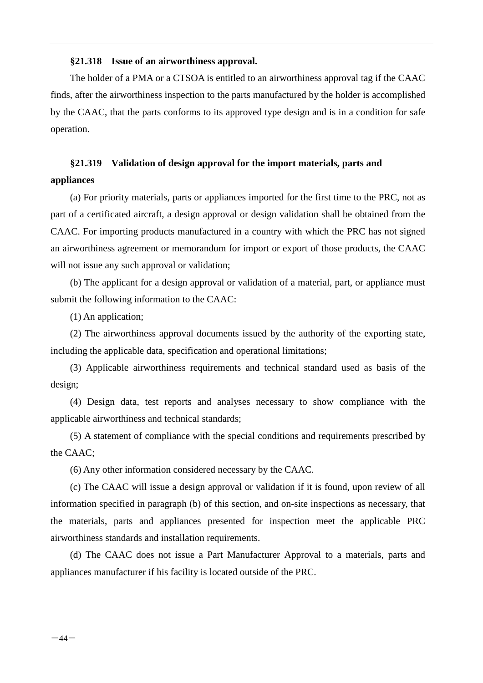#### <span id="page-48-0"></span>**§21.318 Issue of an airworthiness approval.**

The holder of a PMA or a CTSOA is entitled to an airworthiness approval tag if the CAAC finds, after the airworthiness inspection to the parts manufactured by the holder is accomplished by the CAAC, that the parts conforms to its approved type design and is in a condition for safe operation.

## <span id="page-48-1"></span>**§21.319 Validation of design approval for the import materials, parts and appliances**

(a) For priority materials, parts or appliances imported for the first time to the PRC, not as part of a certificated aircraft, a design approval or design validation shall be obtained from the CAAC. For importing products manufactured in a country with which the PRC has not signed an airworthiness agreement or memorandum for import or export of those products, the CAAC will not issue any such approval or validation;

(b) The applicant for a design approval or validation of a material, part, or appliance must submit the following information to the CAAC:

(1) An application;

(2) The airworthiness approval documents issued by the authority of the exporting state, including the applicable data, specification and operational limitations;

(3) Applicable airworthiness requirements and technical standard used as basis of the design;

(4) Design data, test reports and analyses necessary to show compliance with the applicable airworthiness and technical standards;

(5) A statement of compliance with the special conditions and requirements prescribed by the CAAC;

(6) Any other information considered necessary by the CAAC.

(c) The CAAC will issue a design approval or validation if it is found, upon review of all information specified in paragraph (b) of this section, and on-site inspections as necessary, that the materials, parts and appliances presented for inspection meet the applicable PRC airworthiness standards and installation requirements.

(d) The CAAC does not issue a Part Manufacturer Approval to a materials, parts and appliances manufacturer if his facility is located outside of the PRC.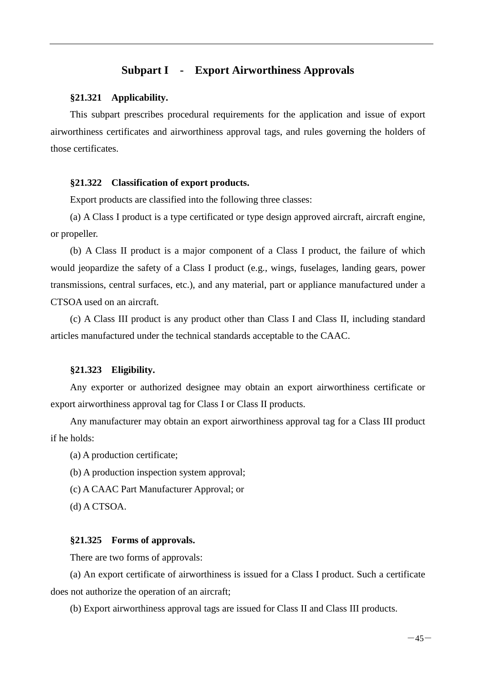#### **Subpart I - Export Airworthiness Approvals**

#### <span id="page-49-1"></span><span id="page-49-0"></span>**§21.321 Applicability.**

This subpart prescribes procedural requirements for the application and issue of export airworthiness certificates and airworthiness approval tags, and rules governing the holders of those certificates.

#### <span id="page-49-2"></span>**§21.322 Classification of export products.**

Export products are classified into the following three classes:

(a) A Class I product is a type certificated or type design approved aircraft, aircraft engine, or propeller.

(b) A Class II product is a major component of a Class I product, the failure of which would jeopardize the safety of a Class I product (e.g., wings, fuselages, landing gears, power transmissions, central surfaces, etc.), and any material, part or appliance manufactured under a CTSOA used on an aircraft.

(c) A Class III product is any product other than Class I and Class II, including standard articles manufactured under the technical standards acceptable to the CAAC.

#### <span id="page-49-3"></span>**§21.323 Eligibility.**

Any exporter or authorized designee may obtain an export airworthiness certificate or export airworthiness approval tag for Class I or Class II products.

Any manufacturer may obtain an export airworthiness approval tag for a Class III product if he holds:

(a) A production certificate;

- (b) A production inspection system approval;
- (c) A CAAC Part Manufacturer Approval; or
- (d) A CTSOA.

#### <span id="page-49-4"></span>**§21.325 Forms of approvals.**

There are two forms of approvals:

(a) An export certificate of airworthiness is issued for a Class I product. Such a certificate does not authorize the operation of an aircraft;

(b) Export airworthiness approval tags are issued for Class II and Class III products.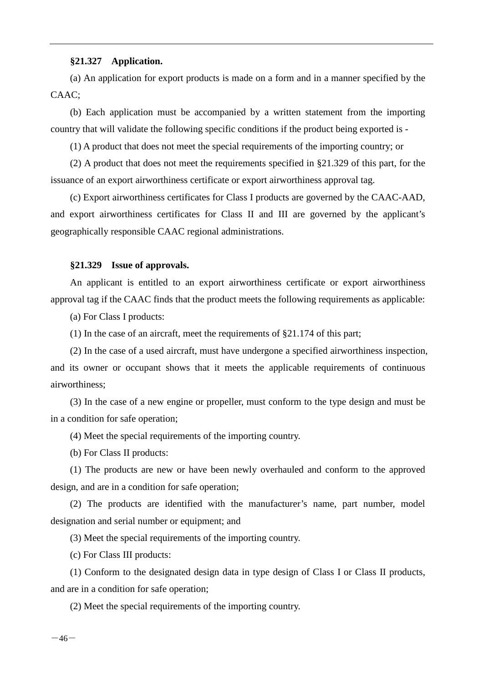#### <span id="page-50-0"></span>**§21.327 Application.**

(a) An application for export products is made on a form and in a manner specified by the CAAC;

(b) Each application must be accompanied by a written statement from the importing country that will validate the following specific conditions if the product being exported is -

(1) A product that does not meet the special requirements of the importing country; or

(2) A product that does not meet the requirements specified in §21.329 of this part, for the issuance of an export airworthiness certificate or export airworthiness approval tag.

(c) Export airworthiness certificates for Class I products are governed by the CAAC-AAD, and export airworthiness certificates for Class II and III are governed by the applicant's geographically responsible CAAC regional administrations.

#### <span id="page-50-1"></span>**§21.329 Issue of approvals.**

An applicant is entitled to an export airworthiness certificate or export airworthiness approval tag if the CAAC finds that the product meets the following requirements as applicable:

(a) For Class I products:

(1) In the case of an aircraft, meet the requirements of §21.174 of this part;

(2) In the case of a used aircraft, must have undergone a specified airworthiness inspection, and its owner or occupant shows that it meets the applicable requirements of continuous airworthiness;

(3) In the case of a new engine or propeller, must conform to the type design and must be in a condition for safe operation;

(4) Meet the special requirements of the importing country.

(b) For Class II products:

(1) The products are new or have been newly overhauled and conform to the approved design, and are in a condition for safe operation;

(2) The products are identified with the manufacturer's name, part number, model designation and serial number or equipment; and

(3) Meet the special requirements of the importing country.

(c) For Class III products:

(1) Conform to the designated design data in type design of Class I or Class II products, and are in a condition for safe operation;

(2) Meet the special requirements of the importing country.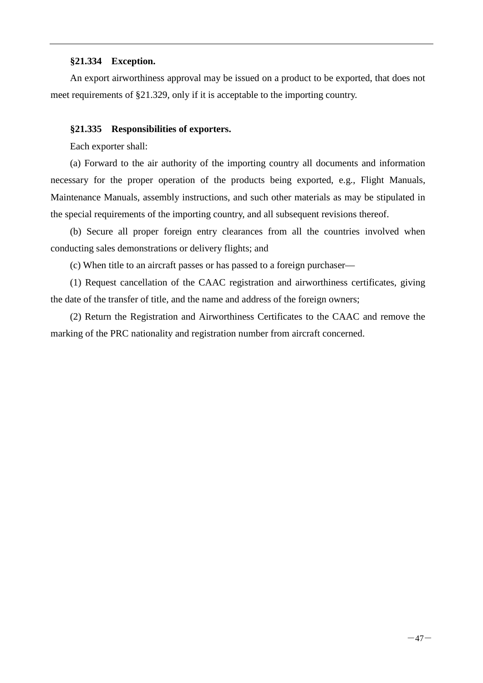#### <span id="page-51-0"></span>**§21.334 Exception.**

An export airworthiness approval may be issued on a product to be exported, that does not meet requirements of §21.329, only if it is acceptable to the importing country.

#### <span id="page-51-1"></span>**§21.335 Responsibilities of exporters.**

Each exporter shall:

(a) Forward to the air authority of the importing country all documents and information necessary for the proper operation of the products being exported, e.g., Flight Manuals, Maintenance Manuals, assembly instructions, and such other materials as may be stipulated in the special requirements of the importing country, and all subsequent revisions thereof.

(b) Secure all proper foreign entry clearances from all the countries involved when conducting sales demonstrations or delivery flights; and

(c) When title to an aircraft passes or has passed to a foreign purchaser—

(1) Request cancellation of the CAAC registration and airworthiness certificates, giving the date of the transfer of title, and the name and address of the foreign owners;

(2) Return the Registration and Airworthiness Certificates to the CAAC and remove the marking of the PRC nationality and registration number from aircraft concerned.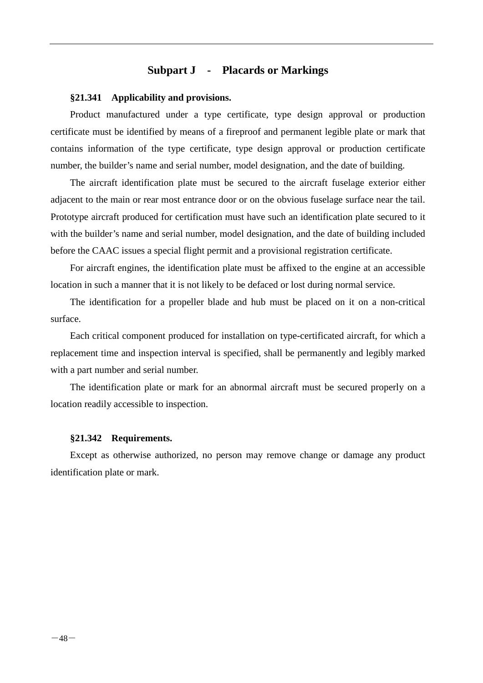## **Subpart J - Placards or Markings**

#### <span id="page-52-1"></span><span id="page-52-0"></span>**§21.341 Applicability and provisions.**

Product manufactured under a type certificate, type design approval or production certificate must be identified by means of a fireproof and permanent legible plate or mark that contains information of the type certificate, type design approval or production certificate number, the builder's name and serial number, model designation, and the date of building.

The aircraft identification plate must be secured to the aircraft fuselage exterior either adjacent to the main or rear most entrance door or on the obvious fuselage surface near the tail. Prototype aircraft produced for certification must have such an identification plate secured to it with the builder's name and serial number, model designation, and the date of building included before the CAAC issues a special flight permit and a provisional registration certificate.

For aircraft engines, the identification plate must be affixed to the engine at an accessible location in such a manner that it is not likely to be defaced or lost during normal service.

The identification for a propeller blade and hub must be placed on it on a non-critical surface.

Each critical component produced for installation on type-certificated aircraft, for which a replacement time and inspection interval is specified, shall be permanently and legibly marked with a part number and serial number.

The identification plate or mark for an abnormal aircraft must be secured properly on a location readily accessible to inspection.

#### <span id="page-52-2"></span>**§21.342 Requirements.**

Except as otherwise authorized, no person may remove change or damage any product identification plate or mark.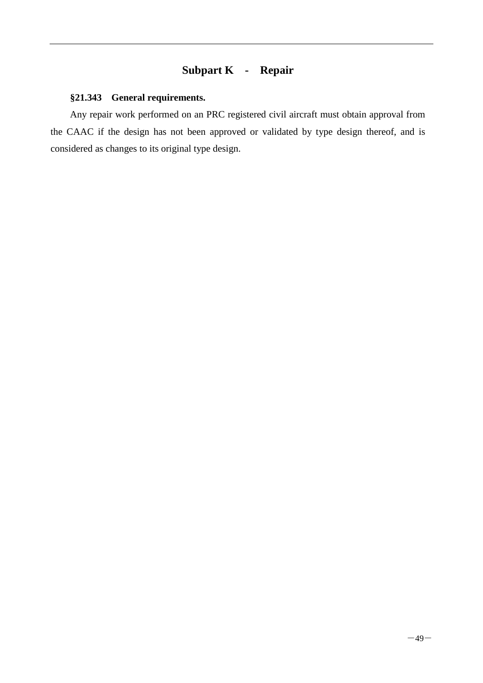## **Subpart K - Repair**

#### <span id="page-53-1"></span><span id="page-53-0"></span>**§21.343 General requirements.**

Any repair work performed on an PRC registered civil aircraft must obtain approval from the CAAC if the design has not been approved or validated by type design thereof, and is considered as changes to its original type design.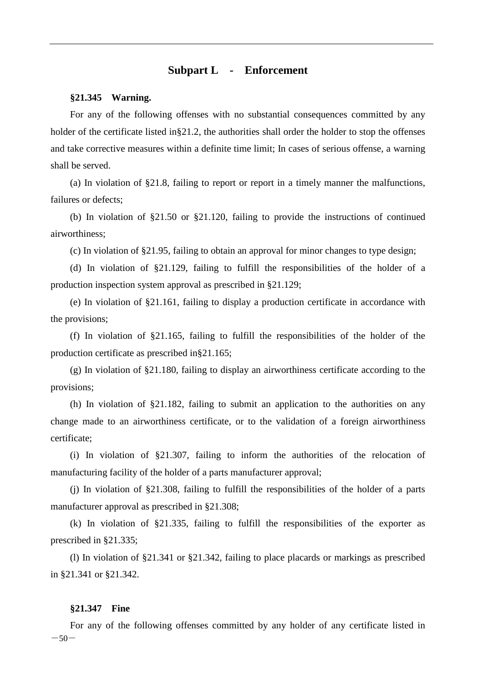#### **Subpart L - Enforcement**

#### <span id="page-54-1"></span><span id="page-54-0"></span>**§21.345 Warning.**

For any of the following offenses with no substantial consequences committed by any holder of the certificate listed in§21.2, the authorities shall order the holder to stop the offenses and take corrective measures within a definite time limit; In cases of serious offense, a warning shall be served.

(a) In violation of §21.8, failing to report or report in a timely manner the malfunctions, failures or defects;

(b) In violation of §21.50 or §21.120, failing to provide the instructions of continued airworthiness;

(c) In violation of §21.95, failing to obtain an approval for minor changes to type design;

(d) In violation of §21.129, failing to fulfill the responsibilities of the holder of a production inspection system approval as prescribed in §21.129;

(e) In violation of §21.161, failing to display a production certificate in accordance with the provisions;

(f) In violation of §21.165, failing to fulfill the responsibilities of the holder of the production certificate as prescribed in§21.165;

(g) In violation of §21.180, failing to display an airworthiness certificate according to the provisions;

(h) In violation of  $\S21.182$ , failing to submit an application to the authorities on any change made to an airworthiness certificate, or to the validation of a foreign airworthiness certificate;

(i) In violation of §21.307, failing to inform the authorities of the relocation of manufacturing facility of the holder of a parts manufacturer approval;

(j) In violation of §21.308, failing to fulfill the responsibilities of the holder of a parts manufacturer approval as prescribed in §21.308;

(k) In violation of §21.335, failing to fulfill the responsibilities of the exporter as prescribed in §21.335;

(l) In violation of §21.341 or §21.342, failing to place placards or markings as prescribed in §21.341 or §21.342.

#### <span id="page-54-2"></span>**§21.347 Fine**

 $-50-$ For any of the following offenses committed by any holder of any certificate listed in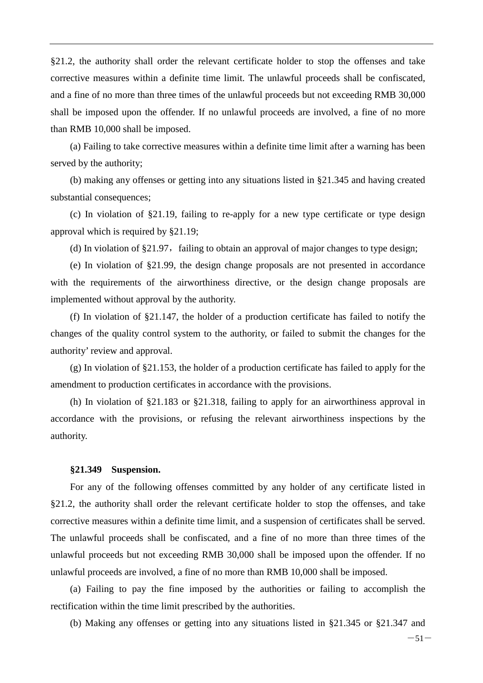§21.2, the authority shall order the relevant certificate holder to stop the offenses and take corrective measures within a definite time limit. The unlawful proceeds shall be confiscated, and a fine of no more than three times of the unlawful proceeds but not exceeding RMB 30,000 shall be imposed upon the offender. If no unlawful proceeds are involved, a fine of no more than RMB 10,000 shall be imposed.

(a) Failing to take corrective measures within a definite time limit after a warning has been served by the authority;

(b) making any offenses or getting into any situations listed in §21.345 and having created substantial consequences;

(c) In violation of §21.19, failing to re-apply for a new type certificate or type design approval which is required by §21.19;

(d) In violation of  $\S21.97$ , failing to obtain an approval of major changes to type design;

(e) In violation of §21.99, the design change proposals are not presented in accordance with the requirements of the airworthiness directive, or the design change proposals are implemented without approval by the authority.

(f) In violation of §21.147, the holder of a production certificate has failed to notify the changes of the quality control system to the authority, or failed to submit the changes for the authority' review and approval.

(g) In violation of §21.153, the holder of a production certificate has failed to apply for the amendment to production certificates in accordance with the provisions.

(h) In violation of §21.183 or §21.318, failing to apply for an airworthiness approval in accordance with the provisions, or refusing the relevant airworthiness inspections by the authority.

#### <span id="page-55-0"></span>**§21.349 Suspension.**

For any of the following offenses committed by any holder of any certificate listed in §21.2, the authority shall order the relevant certificate holder to stop the offenses, and take corrective measures within a definite time limit, and a suspension of certificates shall be served. The unlawful proceeds shall be confiscated, and a fine of no more than three times of the unlawful proceeds but not exceeding RMB 30,000 shall be imposed upon the offender. If no unlawful proceeds are involved, a fine of no more than RMB 10,000 shall be imposed.

(a) Failing to pay the fine imposed by the authorities or failing to accomplish the rectification within the time limit prescribed by the authorities.

(b) Making any offenses or getting into any situations listed in §21.345 or §21.347 and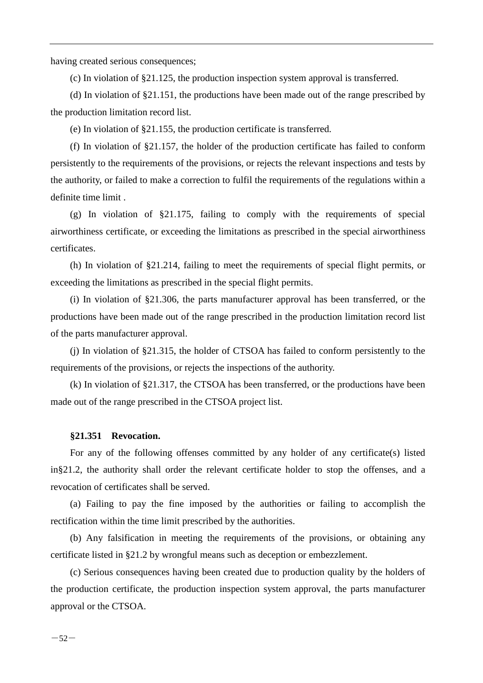having created serious consequences;

(c) In violation of §21.125, the production inspection system approval is transferred.

(d) In violation of §21.151, the productions have been made out of the range prescribed by the production limitation record list.

(e) In violation of §21.155, the production certificate is transferred.

(f) In violation of §21.157, the holder of the production certificate has failed to conform persistently to the requirements of the provisions, or rejects the relevant inspections and tests by the authority, or failed to make a correction to fulfil the requirements of the regulations within a definite time limit .

(g) In violation of §21.175, failing to comply with the requirements of special airworthiness certificate, or exceeding the limitations as prescribed in the special airworthiness certificates.

(h) In violation of §21.214, failing to meet the requirements of special flight permits, or exceeding the limitations as prescribed in the special flight permits.

(i) In violation of §21.306, the parts manufacturer approval has been transferred, or the productions have been made out of the range prescribed in the production limitation record list of the parts manufacturer approval.

(j) In violation of §21.315, the holder of CTSOA has failed to conform persistently to the requirements of the provisions, or rejects the inspections of the authority.

(k) In violation of §21.317, the CTSOA has been transferred, or the productions have been made out of the range prescribed in the CTSOA project list.

#### <span id="page-56-0"></span>**§21.351 Revocation.**

For any of the following offenses committed by any holder of any certificate(s) listed in§21.2, the authority shall order the relevant certificate holder to stop the offenses, and a revocation of certificates shall be served.

(a) Failing to pay the fine imposed by the authorities or failing to accomplish the rectification within the time limit prescribed by the authorities.

(b) Any falsification in meeting the requirements of the provisions, or obtaining any certificate listed in §21.2 by wrongful means such as deception or embezzlement.

(c) Serious consequences having been created due to production quality by the holders of the production certificate, the production inspection system approval, the parts manufacturer approval or the CTSOA.